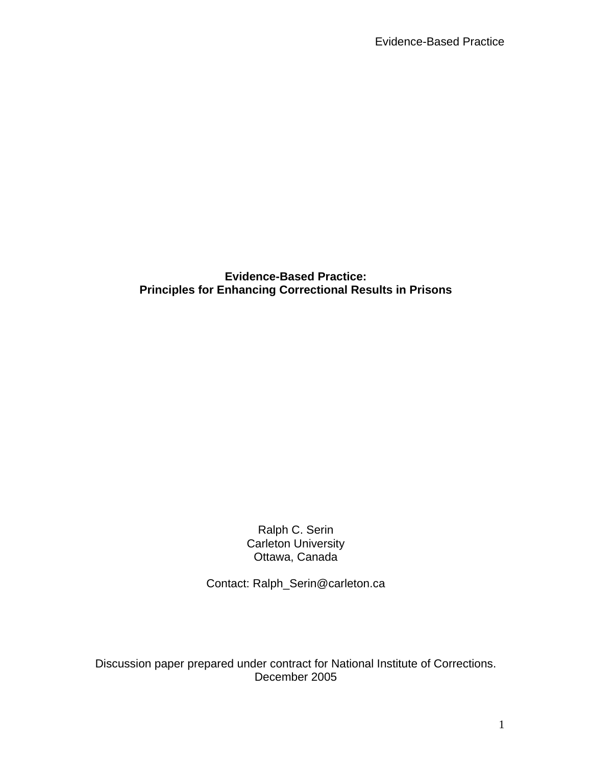**Evidence-Based Practice: Principles for Enhancing Correctional Results in Prisons** 

> Ralph C. Serin Carleton University Ottawa, Canada

Contact: Ralph\_Serin@carleton.ca

Discussion paper prepared under contract for National Institute of Corrections. December 2005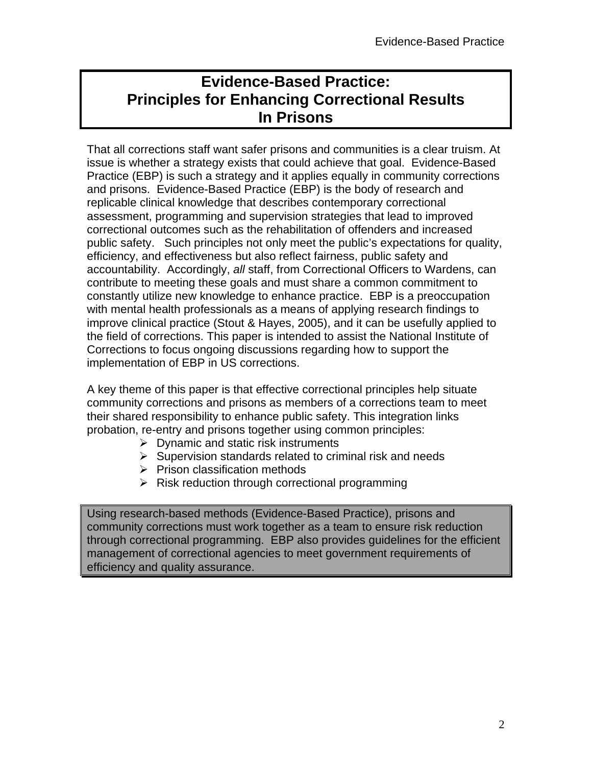# **Evidence-Based Practice: Principles for Enhancing Correctional Results In Prisons**

That all corrections staff want safer prisons and communities is a clear truism. At issue is whether a strategy exists that could achieve that goal. Evidence-Based Practice (EBP) is such a strategy and it applies equally in community corrections and prisons. Evidence-Based Practice (EBP) is the body of research and replicable clinical knowledge that describes contemporary correctional assessment, programming and supervision strategies that lead to improved correctional outcomes such as the rehabilitation of offenders and increased public safety. Such principles not only meet the public's expectations for quality, efficiency, and effectiveness but also reflect fairness, public safety and accountability. Accordingly, *all* staff, from Correctional Officers to Wardens, can contribute to meeting these goals and must share a common commitment to constantly utilize new knowledge to enhance practice. EBP is a preoccupation with mental health professionals as a means of applying research findings to improve clinical practice (Stout & Hayes, 2005), and it can be usefully applied to the field of corrections. This paper is intended to assist the National Institute of Corrections to focus ongoing discussions regarding how to support the implementation of EBP in US corrections.

A key theme of this paper is that effective correctional principles help situate community corrections and prisons as members of a corrections team to meet their shared responsibility to enhance public safety. This integration links probation, re-entry and prisons together using common principles:

- $\triangleright$  Dynamic and static risk instruments
- $\triangleright$  Supervision standards related to criminal risk and needs
- $\triangleright$  Prison classification methods
- $\triangleright$  Risk reduction through correctional programming

Using research-based methods (Evidence-Based Practice), prisons and community corrections must work together as a team to ensure risk reduction through correctional programming. EBP also provides guidelines for the efficient management of correctional agencies to meet government requirements of efficiency and quality assurance.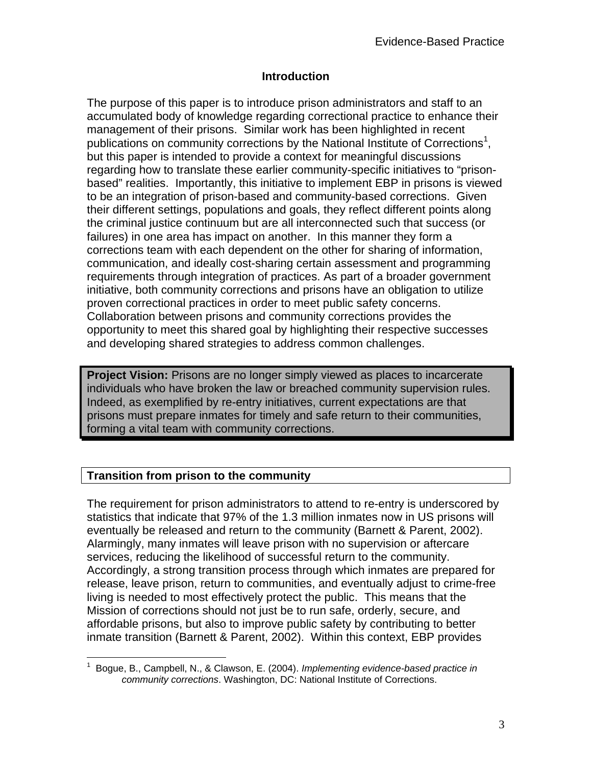#### **Introduction**

The purpose of this paper is to introduce prison administrators and staff to an accumulated body of knowledge regarding correctional practice to enhance their management of their prisons. Similar work has been highlighted in recent publications on community corrections by the National Institute of Corrections<sup>1</sup>, but this paper is intended to provide a context for meaningful discussions regarding how to translate these earlier community-specific initiatives to "prisonbased" realities. Importantly, this initiative to implement EBP in prisons is viewed to be an integration of prison-based and community-based corrections. Given their different settings, populations and goals, they reflect different points along the criminal justice continuum but are all interconnected such that success (or failures) in one area has impact on another. In this manner they form a corrections team with each dependent on the other for sharing of information, communication, and ideally cost-sharing certain assessment and programming requirements through integration of practices. As part of a broader government initiative, both community corrections and prisons have an obligation to utilize proven correctional practices in order to meet public safety concerns. Collaboration between prisons and community corrections provides the opportunity to meet this shared goal by highlighting their respective successes and developing shared strategies to address common challenges.

**Project Vision:** Prisons are no longer simply viewed as places to incarcerate individuals who have broken the law or breached community supervision rules. Indeed, as exemplified by re-entry initiatives, current expectations are that prisons must prepare inmates for timely and safe return to their communities, forming a vital team with community corrections.

#### **Transition from prison to the community**

The requirement for prison administrators to attend to re-entry is underscored by statistics that indicate that 97% of the 1.3 million inmates now in US prisons will eventually be released and return to the community (Barnett & Parent, 2002). Alarmingly, many inmates will leave prison with no supervision or aftercare services, reducing the likelihood of successful return to the community. Accordingly, a strong transition process through which inmates are prepared for release, leave prison, return to communities, and eventually adjust to crime-free living is needed to most effectively protect the public. This means that the Mission of corrections should not just be to run safe, orderly, secure, and affordable prisons, but also to improve public safety by contributing to better inmate transition (Barnett & Parent, 2002). Within this context, EBP provides

 $\overline{a}$ <sup>1</sup> Bogue, B., Campbell, N., & Clawson, E. (2004). *Implementing evidence-based practice in community corrections*. Washington, DC: National Institute of Corrections.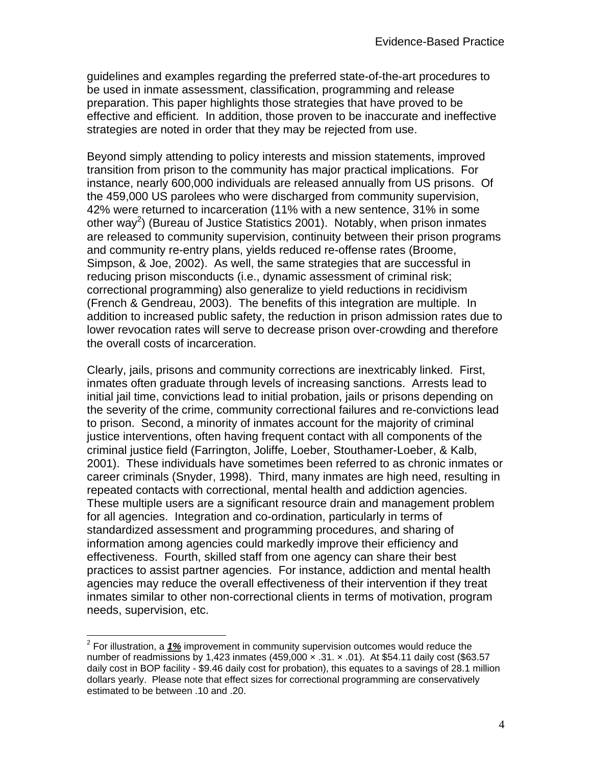guidelines and examples regarding the preferred state-of-the-art procedures to be used in inmate assessment, classification, programming and release preparation. This paper highlights those strategies that have proved to be effective and efficient. In addition, those proven to be inaccurate and ineffective strategies are noted in order that they may be rejected from use.

Beyond simply attending to policy interests and mission statements, improved transition from prison to the community has major practical implications. For instance, nearly 600,000 individuals are released annually from US prisons. Of the 459,000 US parolees who were discharged from community supervision, 42% were returned to incarceration (11% with a new sentence, 31% in some other way<sup>2</sup>) (Bureau of Justice Statistics 2001). Notably, when prison inmates are released to community supervision, continuity between their prison programs and community re-entry plans, yields reduced re-offense rates (Broome, Simpson, & Joe, 2002). As well, the same strategies that are successful in reducing prison misconducts (i.e., dynamic assessment of criminal risk; correctional programming) also generalize to yield reductions in recidivism (French & Gendreau, 2003). The benefits of this integration are multiple. In addition to increased public safety, the reduction in prison admission rates due to lower revocation rates will serve to decrease prison over-crowding and therefore the overall costs of incarceration.

Clearly, jails, prisons and community corrections are inextricably linked. First, inmates often graduate through levels of increasing sanctions. Arrests lead to initial jail time, convictions lead to initial probation, jails or prisons depending on the severity of the crime, community correctional failures and re-convictions lead to prison. Second, a minority of inmates account for the majority of criminal justice interventions, often having frequent contact with all components of the criminal justice field (Farrington, Joliffe, Loeber, Stouthamer-Loeber, & Kalb, 2001). These individuals have sometimes been referred to as chronic inmates or career criminals (Snyder, 1998). Third, many inmates are high need, resulting in repeated contacts with correctional, mental health and addiction agencies. These multiple users are a significant resource drain and management problem for all agencies. Integration and co-ordination, particularly in terms of standardized assessment and programming procedures, and sharing of information among agencies could markedly improve their efficiency and effectiveness. Fourth, skilled staff from one agency can share their best practices to assist partner agencies. For instance, addiction and mental health agencies may reduce the overall effectiveness of their intervention if they treat inmates similar to other non-correctional clients in terms of motivation, program needs, supervision, etc.

 2 For illustration, a *1%* improvement in community supervision outcomes would reduce the number of readmissions by 1,423 inmates  $(459,000 \times .31 \times .01)$ . At \$54.11 daily cost (\$63.57 daily cost in BOP facility - \$9.46 daily cost for probation), this equates to a savings of 28.1 million dollars yearly. Please note that effect sizes for correctional programming are conservatively estimated to be between .10 and .20.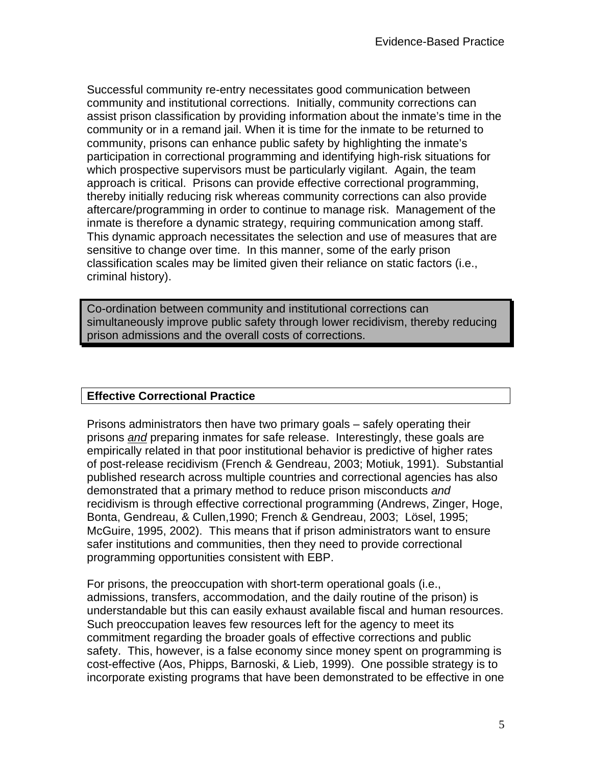Successful community re-entry necessitates good communication between community and institutional corrections. Initially, community corrections can assist prison classification by providing information about the inmate's time in the community or in a remand jail. When it is time for the inmate to be returned to community, prisons can enhance public safety by highlighting the inmate's participation in correctional programming and identifying high-risk situations for which prospective supervisors must be particularly vigilant. Again, the team approach is critical. Prisons can provide effective correctional programming, thereby initially reducing risk whereas community corrections can also provide aftercare/programming in order to continue to manage risk. Management of the inmate is therefore a dynamic strategy, requiring communication among staff. This dynamic approach necessitates the selection and use of measures that are sensitive to change over time. In this manner, some of the early prison classification scales may be limited given their reliance on static factors (i.e., criminal history).

Co-ordination between community and institutional corrections can simultaneously improve public safety through lower recidivism, thereby reducing prison admissions and the overall costs of corrections.

#### **Effective Correctional Practice**

Prisons administrators then have two primary goals – safely operating their prisons *and* preparing inmates for safe release. Interestingly, these goals are empirically related in that poor institutional behavior is predictive of higher rates of post-release recidivism (French & Gendreau, 2003; Motiuk, 1991). Substantial published research across multiple countries and correctional agencies has also demonstrated that a primary method to reduce prison misconducts *and* recidivism is through effective correctional programming (Andrews, Zinger, Hoge, Bonta, Gendreau, & Cullen,1990; French & Gendreau, 2003; Lösel, 1995; McGuire, 1995, 2002). This means that if prison administrators want to ensure safer institutions and communities, then they need to provide correctional programming opportunities consistent with EBP.

For prisons, the preoccupation with short-term operational goals (i.e., admissions, transfers, accommodation, and the daily routine of the prison) is understandable but this can easily exhaust available fiscal and human resources. Such preoccupation leaves few resources left for the agency to meet its commitment regarding the broader goals of effective corrections and public safety. This, however, is a false economy since money spent on programming is cost-effective (Aos, Phipps, Barnoski, & Lieb, 1999). One possible strategy is to incorporate existing programs that have been demonstrated to be effective in one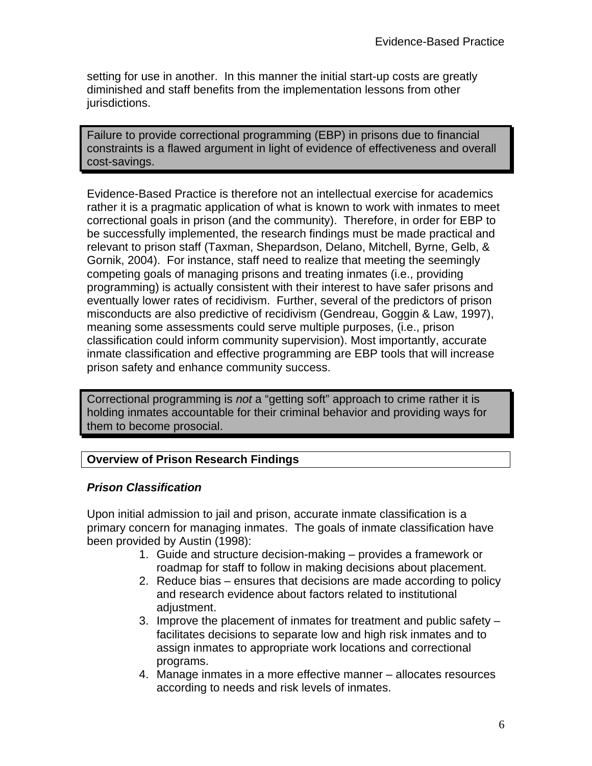setting for use in another. In this manner the initial start-up costs are greatly diminished and staff benefits from the implementation lessons from other jurisdictions.

Failure to provide correctional programming (EBP) in prisons due to financial constraints is a flawed argument in light of evidence of effectiveness and overall cost-savings.

Evidence-Based Practice is therefore not an intellectual exercise for academics rather it is a pragmatic application of what is known to work with inmates to meet correctional goals in prison (and the community). Therefore, in order for EBP to be successfully implemented, the research findings must be made practical and relevant to prison staff (Taxman, Shepardson, Delano, Mitchell, Byrne, Gelb, & Gornik, 2004). For instance, staff need to realize that meeting the seemingly competing goals of managing prisons and treating inmates (i.e., providing programming) is actually consistent with their interest to have safer prisons and eventually lower rates of recidivism. Further, several of the predictors of prison misconducts are also predictive of recidivism (Gendreau, Goggin & Law, 1997), meaning some assessments could serve multiple purposes, (i.e., prison classification could inform community supervision). Most importantly, accurate inmate classification and effective programming are EBP tools that will increase prison safety and enhance community success.

Correctional programming is *not* a "getting soft" approach to crime rather it is holding inmates accountable for their criminal behavior and providing ways for them to become prosocial.

# **Overview of Prison Research Findings**

#### *Prison Classification*

Upon initial admission to jail and prison, accurate inmate classification is a primary concern for managing inmates. The goals of inmate classification have been provided by Austin (1998):

- 1. Guide and structure decision-making provides a framework or roadmap for staff to follow in making decisions about placement.
- 2. Reduce bias ensures that decisions are made according to policy and research evidence about factors related to institutional adiustment.
- 3. Improve the placement of inmates for treatment and public safety facilitates decisions to separate low and high risk inmates and to assign inmates to appropriate work locations and correctional programs.
- 4. Manage inmates in a more effective manner allocates resources according to needs and risk levels of inmates.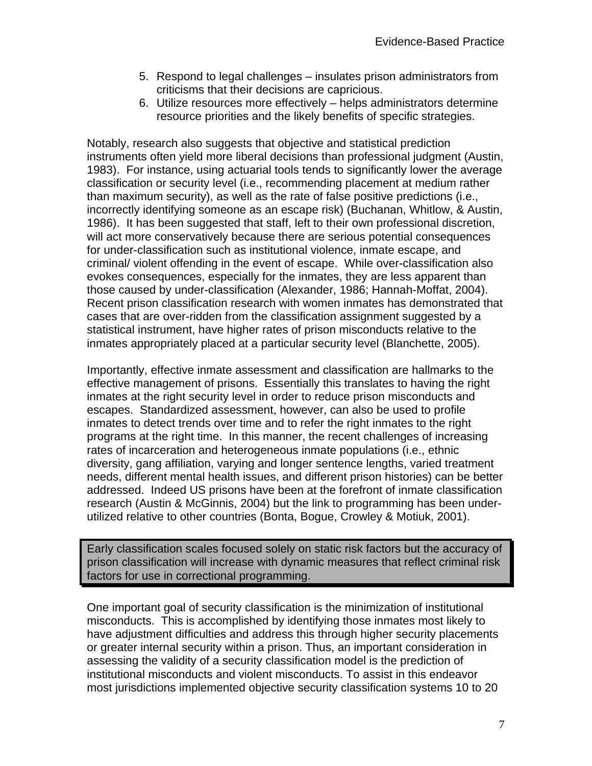- 5. Respond to legal challenges insulates prison administrators from criticisms that their decisions are capricious.
- 6. Utilize resources more effectively helps administrators determine resource priorities and the likely benefits of specific strategies.

Notably, research also suggests that objective and statistical prediction instruments often yield more liberal decisions than professional judgment (Austin, 1983). For instance, using actuarial tools tends to significantly lower the average classification or security level (i.e., recommending placement at medium rather than maximum security), as well as the rate of false positive predictions (i.e., incorrectly identifying someone as an escape risk) (Buchanan, Whitlow, & Austin, 1986). It has been suggested that staff, left to their own professional discretion, will act more conservatively because there are serious potential consequences for under-classification such as institutional violence, inmate escape, and criminal/ violent offending in the event of escape. While over-classification also evokes consequences, especially for the inmates, they are less apparent than those caused by under-classification (Alexander, 1986; Hannah-Moffat, 2004). Recent prison classification research with women inmates has demonstrated that cases that are over-ridden from the classification assignment suggested by a statistical instrument, have higher rates of prison misconducts relative to the inmates appropriately placed at a particular security level (Blanchette, 2005).

Importantly, effective inmate assessment and classification are hallmarks to the effective management of prisons. Essentially this translates to having the right inmates at the right security level in order to reduce prison misconducts and escapes. Standardized assessment, however, can also be used to profile inmates to detect trends over time and to refer the right inmates to the right programs at the right time. In this manner, the recent challenges of increasing rates of incarceration and heterogeneous inmate populations (i.e., ethnic diversity, gang affiliation, varying and longer sentence lengths, varied treatment needs, different mental health issues, and different prison histories) can be better addressed. Indeed US prisons have been at the forefront of inmate classification research (Austin & McGinnis, 2004) but the link to programming has been underutilized relative to other countries (Bonta, Bogue, Crowley & Motiuk, 2001).

Early classification scales focused solely on static risk factors but the accuracy of prison classification will increase with dynamic measures that reflect criminal risk factors for use in correctional programming.

One important goal of security classification is the minimization of institutional misconducts. This is accomplished by identifying those inmates most likely to have adjustment difficulties and address this through higher security placements or greater internal security within a prison. Thus, an important consideration in assessing the validity of a security classification model is the prediction of institutional misconducts and violent misconducts. To assist in this endeavor most jurisdictions implemented objective security classification systems 10 to 20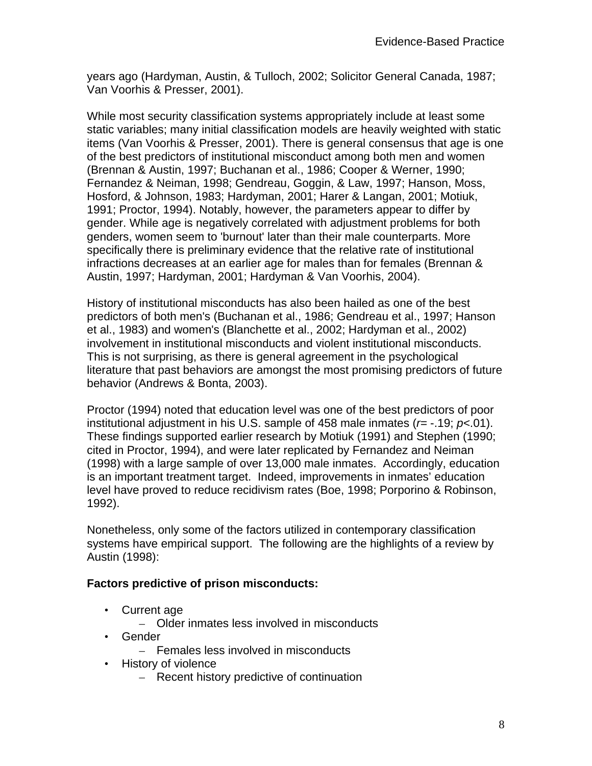years ago (Hardyman, Austin, & Tulloch, 2002; Solicitor General Canada, 1987; Van Voorhis & Presser, 2001).

While most security classification systems appropriately include at least some static variables; many initial classification models are heavily weighted with static items (Van Voorhis & Presser, 2001). There is general consensus that age is one of the best predictors of institutional misconduct among both men and women (Brennan & Austin, 1997; Buchanan et al., 1986; Cooper & Werner, 1990; Fernandez & Neiman, 1998; Gendreau, Goggin, & Law, 1997; Hanson, Moss, Hosford, & Johnson, 1983; Hardyman, 2001; Harer & Langan, 2001; Motiuk, 1991; Proctor, 1994). Notably, however, the parameters appear to differ by gender. While age is negatively correlated with adjustment problems for both genders, women seem to 'burnout' later than their male counterparts. More specifically there is preliminary evidence that the relative rate of institutional infractions decreases at an earlier age for males than for females (Brennan & Austin, 1997; Hardyman, 2001; Hardyman & Van Voorhis, 2004).

History of institutional misconducts has also been hailed as one of the best predictors of both men's (Buchanan et al., 1986; Gendreau et al., 1997; Hanson et al., 1983) and women's (Blanchette et al., 2002; Hardyman et al., 2002) involvement in institutional misconducts and violent institutional misconducts. This is not surprising, as there is general agreement in the psychological literature that past behaviors are amongst the most promising predictors of future behavior (Andrews & Bonta, 2003).

Proctor (1994) noted that education level was one of the best predictors of poor institutional adjustment in his U.S. sample of 458 male inmates (*r=* -.19; *p<*.01). These findings supported earlier research by Motiuk (1991) and Stephen (1990; cited in Proctor, 1994), and were later replicated by Fernandez and Neiman (1998) with a large sample of over 13,000 male inmates. Accordingly, education is an important treatment target. Indeed, improvements in inmates' education level have proved to reduce recidivism rates (Boe, 1998; Porporino & Robinson, 1992).

Nonetheless, only some of the factors utilized in contemporary classification systems have empirical support. The following are the highlights of a review by Austin (1998):

### **Factors predictive of prison misconducts:**

- Current age
	- Older inmates less involved in misconducts
- Gender
	- Females less involved in misconducts
- History of violence
	- Recent history predictive of continuation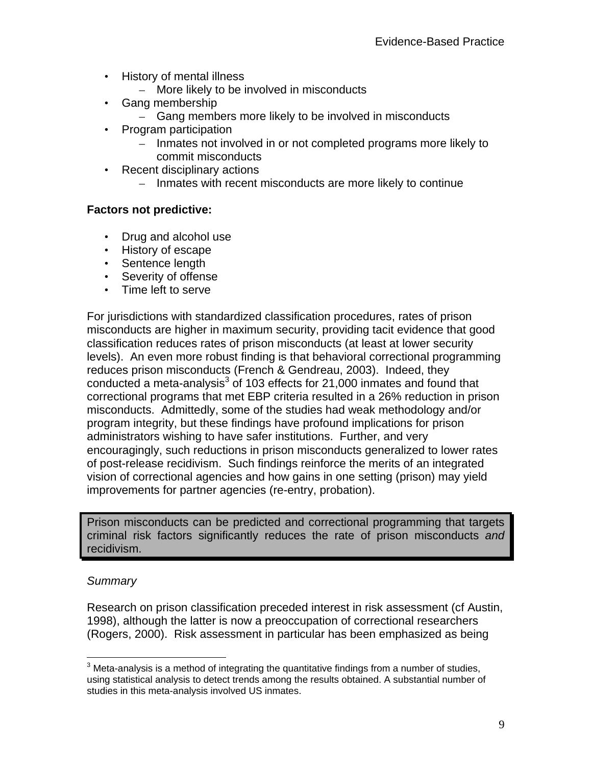- History of mental illness
	- More likely to be involved in misconducts
- Gang membership
	- Gang members more likely to be involved in misconducts
- Program participation
	- Inmates not involved in or not completed programs more likely to commit misconducts
- Recent disciplinary actions
	- Inmates with recent misconducts are more likely to continue

#### **Factors not predictive:**

- Drug and alcohol use
- History of escape
- Sentence length
- Severity of offense
- Time left to serve

For jurisdictions with standardized classification procedures, rates of prison misconducts are higher in maximum security, providing tacit evidence that good classification reduces rates of prison misconducts (at least at lower security levels). An even more robust finding is that behavioral correctional programming reduces prison misconducts (French & Gendreau, 2003). Indeed, they conducted a meta-analysis $3$  of 103 effects for 21,000 inmates and found that correctional programs that met EBP criteria resulted in a 26% reduction in prison misconducts. Admittedly, some of the studies had weak methodology and/or program integrity, but these findings have profound implications for prison administrators wishing to have safer institutions. Further, and very encouragingly, such reductions in prison misconducts generalized to lower rates of post-release recidivism. Such findings reinforce the merits of an integrated vision of correctional agencies and how gains in one setting (prison) may yield improvements for partner agencies (re-entry, probation).

Prison misconducts can be predicted and correctional programming that targets criminal risk factors significantly reduces the rate of prison misconducts *and* recidivism.

#### *Summary*

Research on prison classification preceded interest in risk assessment (cf Austin, 1998), although the latter is now a preoccupation of correctional researchers (Rogers, 2000). Risk assessment in particular has been emphasized as being

 $\overline{a}$  $3$  Meta-analysis is a method of integrating the quantitative findings from a number of studies, using statistical analysis to detect trends among the results obtained. A substantial number of studies in this meta-analysis involved US inmates.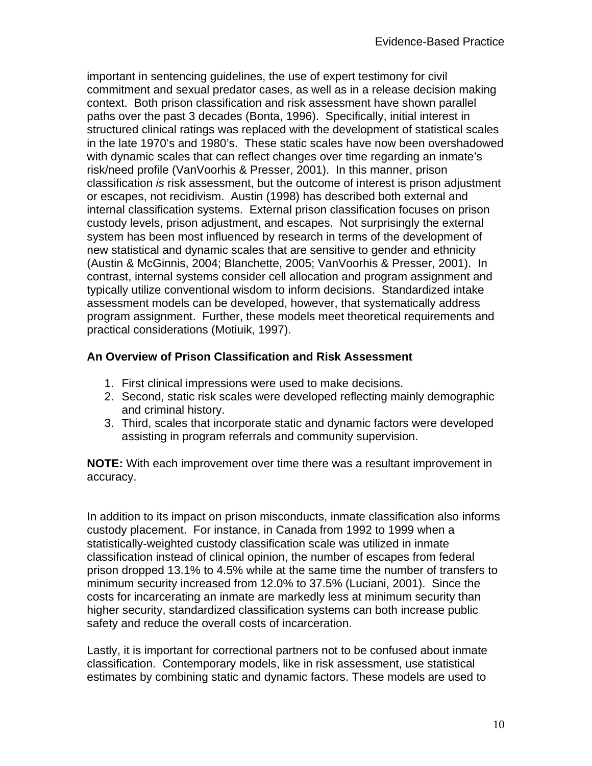important in sentencing guidelines, the use of expert testimony for civil commitment and sexual predator cases, as well as in a release decision making context. Both prison classification and risk assessment have shown parallel paths over the past 3 decades (Bonta, 1996). Specifically, initial interest in structured clinical ratings was replaced with the development of statistical scales in the late 1970's and 1980's. These static scales have now been overshadowed with dynamic scales that can reflect changes over time regarding an inmate's risk/need profile (VanVoorhis & Presser, 2001). In this manner, prison classification *is* risk assessment, but the outcome of interest is prison adjustment or escapes, not recidivism. Austin (1998) has described both external and internal classification systems. External prison classification focuses on prison custody levels, prison adjustment, and escapes. Not surprisingly the external system has been most influenced by research in terms of the development of new statistical and dynamic scales that are sensitive to gender and ethnicity (Austin & McGinnis, 2004; Blanchette, 2005; VanVoorhis & Presser, 2001). In contrast, internal systems consider cell allocation and program assignment and typically utilize conventional wisdom to inform decisions. Standardized intake assessment models can be developed, however, that systematically address program assignment. Further, these models meet theoretical requirements and practical considerations (Motiuik, 1997).

#### **An Overview of Prison Classification and Risk Assessment**

- 1. First clinical impressions were used to make decisions.
- 2. Second, static risk scales were developed reflecting mainly demographic and criminal history.
- 3. Third, scales that incorporate static and dynamic factors were developed assisting in program referrals and community supervision.

**NOTE:** With each improvement over time there was a resultant improvement in accuracy.

In addition to its impact on prison misconducts, inmate classification also informs custody placement. For instance, in Canada from 1992 to 1999 when a statistically-weighted custody classification scale was utilized in inmate classification instead of clinical opinion, the number of escapes from federal prison dropped 13.1% to 4.5% while at the same time the number of transfers to minimum security increased from 12.0% to 37.5% (Luciani, 2001). Since the costs for incarcerating an inmate are markedly less at minimum security than higher security, standardized classification systems can both increase public safety and reduce the overall costs of incarceration.

Lastly, it is important for correctional partners not to be confused about inmate classification. Contemporary models, like in risk assessment, use statistical estimates by combining static and dynamic factors. These models are used to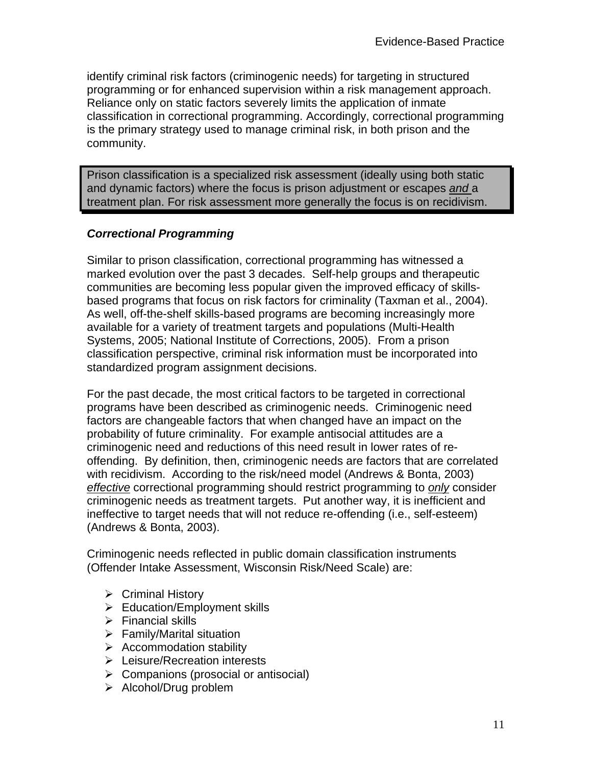identify criminal risk factors (criminogenic needs) for targeting in structured programming or for enhanced supervision within a risk management approach. Reliance only on static factors severely limits the application of inmate classification in correctional programming. Accordingly, correctional programming is the primary strategy used to manage criminal risk, in both prison and the community.

Prison classification is a specialized risk assessment (ideally using both static and dynamic factors) where the focus is prison adjustment or escapes *and* a treatment plan. For risk assessment more generally the focus is on recidivism.

### *Correctional Programming*

Similar to prison classification, correctional programming has witnessed a marked evolution over the past 3 decades. Self-help groups and therapeutic communities are becoming less popular given the improved efficacy of skillsbased programs that focus on risk factors for criminality (Taxman et al., 2004). As well, off-the-shelf skills-based programs are becoming increasingly more available for a variety of treatment targets and populations (Multi-Health Systems, 2005; National Institute of Corrections, 2005). From a prison classification perspective, criminal risk information must be incorporated into standardized program assignment decisions.

For the past decade, the most critical factors to be targeted in correctional programs have been described as criminogenic needs. Criminogenic need factors are changeable factors that when changed have an impact on the probability of future criminality. For example antisocial attitudes are a criminogenic need and reductions of this need result in lower rates of reoffending. By definition, then, criminogenic needs are factors that are correlated with recidivism. According to the risk/need model (Andrews & Bonta, 2003) *effective* correctional programming should restrict programming to *only* consider criminogenic needs as treatment targets. Put another way, it is inefficient and ineffective to target needs that will not reduce re-offending (i.e., self-esteem) (Andrews & Bonta, 2003).

Criminogenic needs reflected in public domain classification instruments (Offender Intake Assessment, Wisconsin Risk/Need Scale) are:

- $\triangleright$  Criminal History
- $\triangleright$  Education/Employment skills
- $\triangleright$  Financial skills
- $\triangleright$  Family/Marital situation
- $\triangleright$  Accommodation stability
- ¾ Leisure/Recreation interests
- $\triangleright$  Companions (prosocial or antisocial)
- $\triangleright$  Alcohol/Drug problem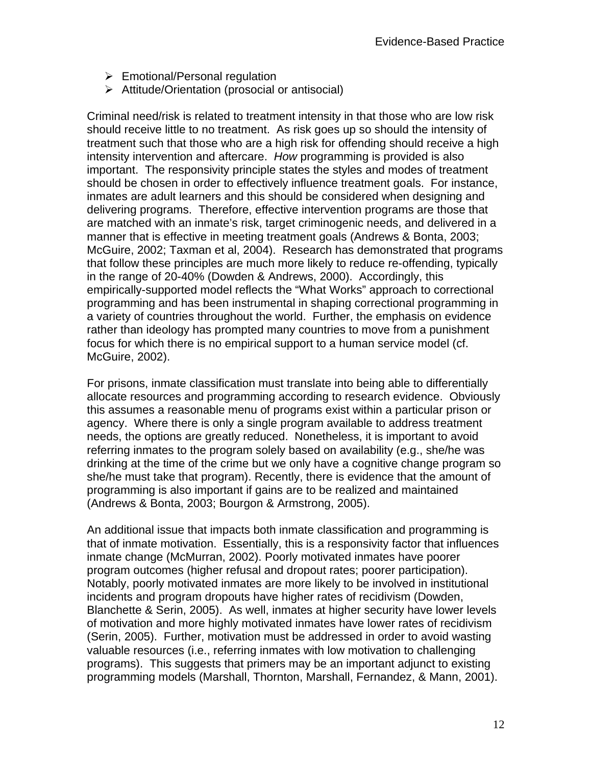- $\triangleright$  Emotional/Personal regulation
- $\triangleright$  Attitude/Orientation (prosocial or antisocial)

Criminal need/risk is related to treatment intensity in that those who are low risk should receive little to no treatment. As risk goes up so should the intensity of treatment such that those who are a high risk for offending should receive a high intensity intervention and aftercare. *How* programming is provided is also important. The responsivity principle states the styles and modes of treatment should be chosen in order to effectively influence treatment goals. For instance, inmates are adult learners and this should be considered when designing and delivering programs. Therefore, effective intervention programs are those that are matched with an inmate's risk, target criminogenic needs, and delivered in a manner that is effective in meeting treatment goals (Andrews & Bonta, 2003; McGuire, 2002; Taxman et al, 2004). Research has demonstrated that programs that follow these principles are much more likely to reduce re-offending, typically in the range of 20-40% (Dowden & Andrews, 2000). Accordingly, this empirically-supported model reflects the "What Works" approach to correctional programming and has been instrumental in shaping correctional programming in a variety of countries throughout the world. Further, the emphasis on evidence rather than ideology has prompted many countries to move from a punishment focus for which there is no empirical support to a human service model (cf. McGuire, 2002).

For prisons, inmate classification must translate into being able to differentially allocate resources and programming according to research evidence. Obviously this assumes a reasonable menu of programs exist within a particular prison or agency. Where there is only a single program available to address treatment needs, the options are greatly reduced. Nonetheless, it is important to avoid referring inmates to the program solely based on availability (e.g., she/he was drinking at the time of the crime but we only have a cognitive change program so she/he must take that program). Recently, there is evidence that the amount of programming is also important if gains are to be realized and maintained (Andrews & Bonta, 2003; Bourgon & Armstrong, 2005).

An additional issue that impacts both inmate classification and programming is that of inmate motivation. Essentially, this is a responsivity factor that influences inmate change (McMurran, 2002). Poorly motivated inmates have poorer program outcomes (higher refusal and dropout rates; poorer participation). Notably, poorly motivated inmates are more likely to be involved in institutional incidents and program dropouts have higher rates of recidivism (Dowden, Blanchette & Serin, 2005). As well, inmates at higher security have lower levels of motivation and more highly motivated inmates have lower rates of recidivism (Serin, 2005). Further, motivation must be addressed in order to avoid wasting valuable resources (i.e., referring inmates with low motivation to challenging programs). This suggests that primers may be an important adjunct to existing programming models (Marshall, Thornton, Marshall, Fernandez, & Mann, 2001).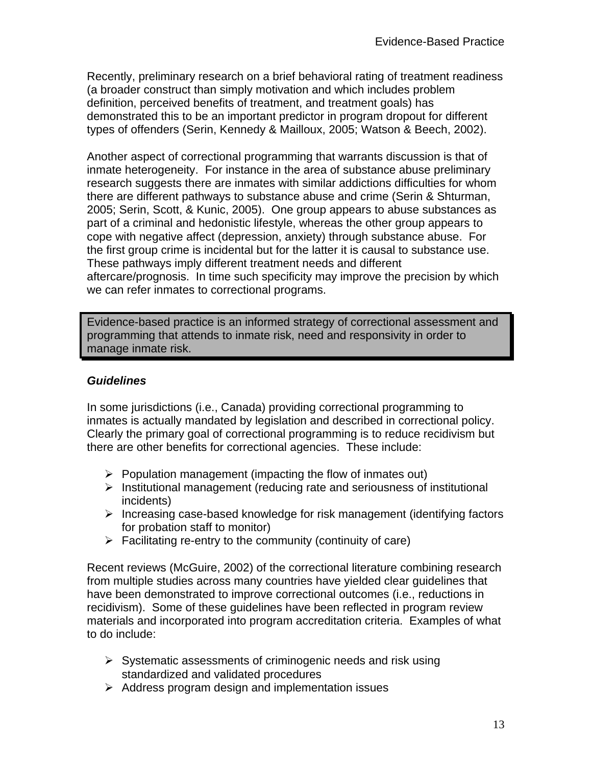Recently, preliminary research on a brief behavioral rating of treatment readiness (a broader construct than simply motivation and which includes problem definition, perceived benefits of treatment, and treatment goals) has demonstrated this to be an important predictor in program dropout for different types of offenders (Serin, Kennedy & Mailloux, 2005; Watson & Beech, 2002).

Another aspect of correctional programming that warrants discussion is that of inmate heterogeneity. For instance in the area of substance abuse preliminary research suggests there are inmates with similar addictions difficulties for whom there are different pathways to substance abuse and crime (Serin & Shturman, 2005; Serin, Scott, & Kunic, 2005). One group appears to abuse substances as part of a criminal and hedonistic lifestyle, whereas the other group appears to cope with negative affect (depression, anxiety) through substance abuse. For the first group crime is incidental but for the latter it is causal to substance use. These pathways imply different treatment needs and different aftercare/prognosis. In time such specificity may improve the precision by which we can refer inmates to correctional programs.

Evidence-based practice is an informed strategy of correctional assessment and programming that attends to inmate risk, need and responsivity in order to manage inmate risk.

#### *Guidelines*

In some jurisdictions (i.e., Canada) providing correctional programming to inmates is actually mandated by legislation and described in correctional policy. Clearly the primary goal of correctional programming is to reduce recidivism but there are other benefits for correctional agencies. These include:

- $\triangleright$  Population management (impacting the flow of inmates out)
- $\triangleright$  Institutional management (reducing rate and seriousness of institutional incidents)
- $\triangleright$  Increasing case-based knowledge for risk management (identifying factors for probation staff to monitor)
- $\triangleright$  Facilitating re-entry to the community (continuity of care)

Recent reviews (McGuire, 2002) of the correctional literature combining research from multiple studies across many countries have yielded clear guidelines that have been demonstrated to improve correctional outcomes (i.e., reductions in recidivism). Some of these guidelines have been reflected in program review materials and incorporated into program accreditation criteria. Examples of what to do include:

- $\triangleright$  Systematic assessments of criminogenic needs and risk using standardized and validated procedures
- $\triangleright$  Address program design and implementation issues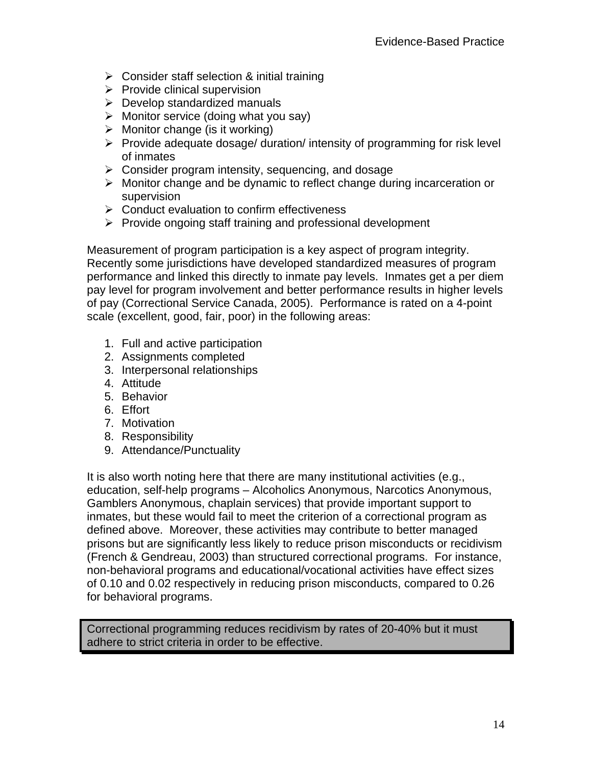- $\triangleright$  Consider staff selection & initial training
- $\triangleright$  Provide clinical supervision
- $\triangleright$  Develop standardized manuals
- $\triangleright$  Monitor service (doing what you say)
- $\triangleright$  Monitor change (is it working)
- ¾ Provide adequate dosage/ duration/ intensity of programming for risk level of inmates
- $\triangleright$  Consider program intensity, sequencing, and dosage
- $\triangleright$  Monitor change and be dynamic to reflect change during incarceration or supervision
- $\triangleright$  Conduct evaluation to confirm effectiveness
- $\triangleright$  Provide ongoing staff training and professional development

Measurement of program participation is a key aspect of program integrity. Recently some jurisdictions have developed standardized measures of program performance and linked this directly to inmate pay levels. Inmates get a per diem pay level for program involvement and better performance results in higher levels of pay (Correctional Service Canada, 2005). Performance is rated on a 4-point scale (excellent, good, fair, poor) in the following areas:

- 1. Full and active participation
- 2. Assignments completed
- 3. Interpersonal relationships
- 4. Attitude
- 5. Behavior
- 6. Effort
- 7. Motivation
- 8. Responsibility
- 9. Attendance/Punctuality

It is also worth noting here that there are many institutional activities (e.g., education, self-help programs – Alcoholics Anonymous, Narcotics Anonymous, Gamblers Anonymous, chaplain services) that provide important support to inmates, but these would fail to meet the criterion of a correctional program as defined above. Moreover, these activities may contribute to better managed prisons but are significantly less likely to reduce prison misconducts or recidivism (French & Gendreau, 2003) than structured correctional programs. For instance, non-behavioral programs and educational/vocational activities have effect sizes of 0.10 and 0.02 respectively in reducing prison misconducts, compared to 0.26 for behavioral programs.

Correctional programming reduces recidivism by rates of 20-40% but it must adhere to strict criteria in order to be effective.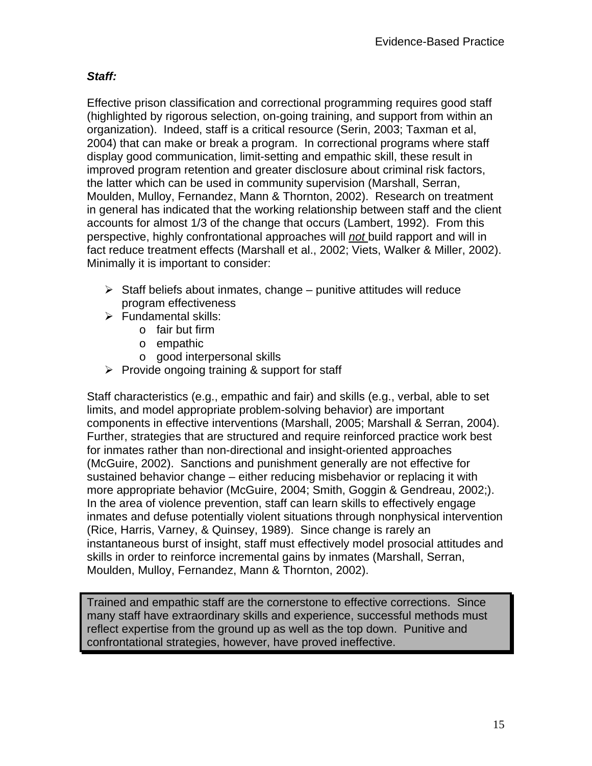### *Staff:*

Effective prison classification and correctional programming requires good staff (highlighted by rigorous selection, on-going training, and support from within an organization). Indeed, staff is a critical resource (Serin, 2003; Taxman et al, 2004) that can make or break a program. In correctional programs where staff display good communication, limit-setting and empathic skill, these result in improved program retention and greater disclosure about criminal risk factors, the latter which can be used in community supervision (Marshall, Serran, Moulden, Mulloy, Fernandez, Mann & Thornton, 2002). Research on treatment in general has indicated that the working relationship between staff and the client accounts for almost 1/3 of the change that occurs (Lambert, 1992). From this perspective, highly confrontational approaches will *not* build rapport and will in fact reduce treatment effects (Marshall et al., 2002; Viets, Walker & Miller, 2002). Minimally it is important to consider:

- $\triangleright$  Staff beliefs about inmates, change punitive attitudes will reduce program effectiveness
- $\triangleright$  Fundamental skills:
	- o fair but firm
	- o empathic
	- o good interpersonal skills
- $\triangleright$  Provide ongoing training & support for staff

Staff characteristics (e.g., empathic and fair) and skills (e.g., verbal, able to set limits, and model appropriate problem-solving behavior) are important components in effective interventions (Marshall, 2005; Marshall & Serran, 2004). Further, strategies that are structured and require reinforced practice work best for inmates rather than non-directional and insight-oriented approaches (McGuire, 2002). Sanctions and punishment generally are not effective for sustained behavior change – either reducing misbehavior or replacing it with more appropriate behavior (McGuire, 2004; Smith, Goggin & Gendreau, 2002;). In the area of violence prevention, staff can learn skills to effectively engage inmates and defuse potentially violent situations through nonphysical intervention (Rice, Harris, Varney, & Quinsey, 1989). Since change is rarely an instantaneous burst of insight, staff must effectively model prosocial attitudes and skills in order to reinforce incremental gains by inmates (Marshall, Serran, Moulden, Mulloy, Fernandez, Mann & Thornton, 2002).

Trained and empathic staff are the cornerstone to effective corrections. Since many staff have extraordinary skills and experience, successful methods must reflect expertise from the ground up as well as the top down. Punitive and confrontational strategies, however, have proved ineffective.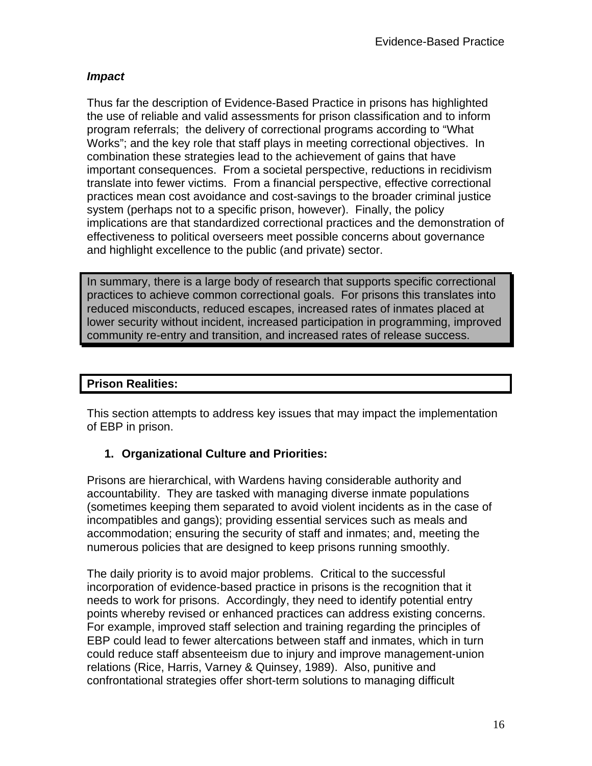#### *Impact*

Thus far the description of Evidence-Based Practice in prisons has highlighted the use of reliable and valid assessments for prison classification and to inform program referrals; the delivery of correctional programs according to "What Works"; and the key role that staff plays in meeting correctional objectives. In combination these strategies lead to the achievement of gains that have important consequences. From a societal perspective, reductions in recidivism translate into fewer victims. From a financial perspective, effective correctional practices mean cost avoidance and cost-savings to the broader criminal justice system (perhaps not to a specific prison, however). Finally, the policy implications are that standardized correctional practices and the demonstration of effectiveness to political overseers meet possible concerns about governance and highlight excellence to the public (and private) sector.

In summary, there is a large body of research that supports specific correctional practices to achieve common correctional goals. For prisons this translates into reduced misconducts, reduced escapes, increased rates of inmates placed at lower security without incident, increased participation in programming, improved community re-entry and transition, and increased rates of release success.

### **Prison Realities:**

This section attempts to address key issues that may impact the implementation of EBP in prison.

### **1. Organizational Culture and Priorities:**

Prisons are hierarchical, with Wardens having considerable authority and accountability. They are tasked with managing diverse inmate populations (sometimes keeping them separated to avoid violent incidents as in the case of incompatibles and gangs); providing essential services such as meals and accommodation; ensuring the security of staff and inmates; and, meeting the numerous policies that are designed to keep prisons running smoothly.

The daily priority is to avoid major problems. Critical to the successful incorporation of evidence-based practice in prisons is the recognition that it needs to work for prisons. Accordingly, they need to identify potential entry points whereby revised or enhanced practices can address existing concerns. For example, improved staff selection and training regarding the principles of EBP could lead to fewer altercations between staff and inmates, which in turn could reduce staff absenteeism due to injury and improve management-union relations (Rice, Harris, Varney & Quinsey, 1989). Also, punitive and confrontational strategies offer short-term solutions to managing difficult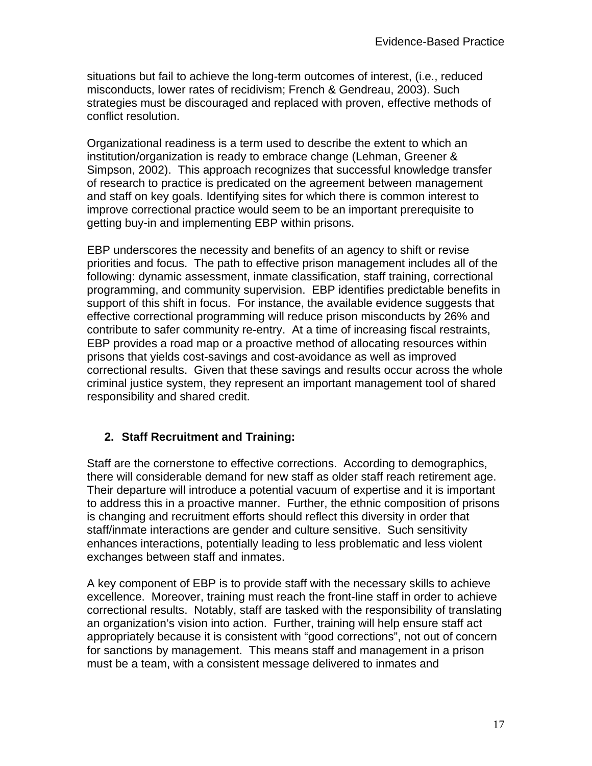situations but fail to achieve the long-term outcomes of interest, (i.e., reduced misconducts, lower rates of recidivism; French & Gendreau, 2003). Such strategies must be discouraged and replaced with proven, effective methods of conflict resolution.

Organizational readiness is a term used to describe the extent to which an institution/organization is ready to embrace change (Lehman, Greener & Simpson, 2002). This approach recognizes that successful knowledge transfer of research to practice is predicated on the agreement between management and staff on key goals. Identifying sites for which there is common interest to improve correctional practice would seem to be an important prerequisite to getting buy-in and implementing EBP within prisons.

EBP underscores the necessity and benefits of an agency to shift or revise priorities and focus. The path to effective prison management includes all of the following: dynamic assessment, inmate classification, staff training, correctional programming, and community supervision. EBP identifies predictable benefits in support of this shift in focus. For instance, the available evidence suggests that effective correctional programming will reduce prison misconducts by 26% and contribute to safer community re-entry. At a time of increasing fiscal restraints, EBP provides a road map or a proactive method of allocating resources within prisons that yields cost-savings and cost-avoidance as well as improved correctional results. Given that these savings and results occur across the whole criminal justice system, they represent an important management tool of shared responsibility and shared credit.

# **2. Staff Recruitment and Training:**

Staff are the cornerstone to effective corrections. According to demographics, there will considerable demand for new staff as older staff reach retirement age. Their departure will introduce a potential vacuum of expertise and it is important to address this in a proactive manner. Further, the ethnic composition of prisons is changing and recruitment efforts should reflect this diversity in order that staff/inmate interactions are gender and culture sensitive. Such sensitivity enhances interactions, potentially leading to less problematic and less violent exchanges between staff and inmates.

A key component of EBP is to provide staff with the necessary skills to achieve excellence. Moreover, training must reach the front-line staff in order to achieve correctional results. Notably, staff are tasked with the responsibility of translating an organization's vision into action. Further, training will help ensure staff act appropriately because it is consistent with "good corrections", not out of concern for sanctions by management. This means staff and management in a prison must be a team, with a consistent message delivered to inmates and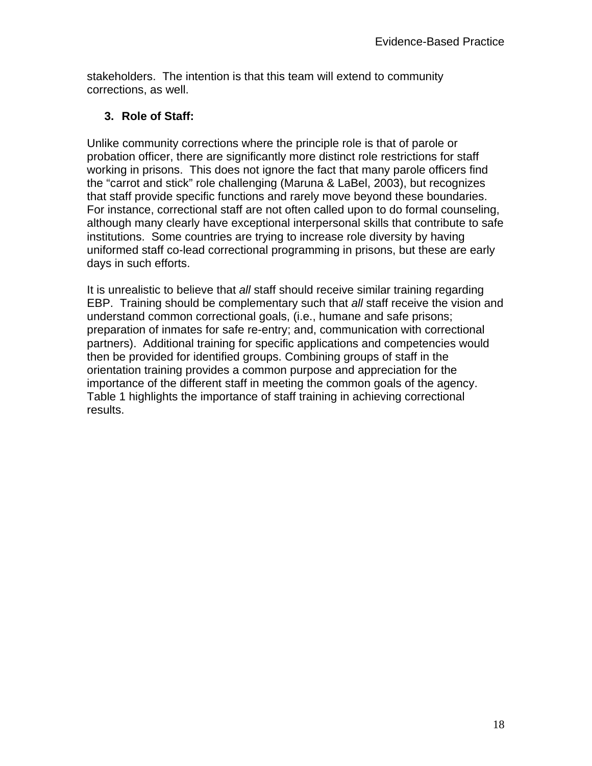stakeholders. The intention is that this team will extend to community corrections, as well.

### **3. Role of Staff:**

Unlike community corrections where the principle role is that of parole or probation officer, there are significantly more distinct role restrictions for staff working in prisons. This does not ignore the fact that many parole officers find the "carrot and stick" role challenging (Maruna & LaBel, 2003), but recognizes that staff provide specific functions and rarely move beyond these boundaries. For instance, correctional staff are not often called upon to do formal counseling, although many clearly have exceptional interpersonal skills that contribute to safe institutions. Some countries are trying to increase role diversity by having uniformed staff co-lead correctional programming in prisons, but these are early days in such efforts.

It is unrealistic to believe that *all* staff should receive similar training regarding EBP. Training should be complementary such that *all* staff receive the vision and understand common correctional goals, (i.e., humane and safe prisons; preparation of inmates for safe re-entry; and, communication with correctional partners). Additional training for specific applications and competencies would then be provided for identified groups. Combining groups of staff in the orientation training provides a common purpose and appreciation for the importance of the different staff in meeting the common goals of the agency. Table 1 highlights the importance of staff training in achieving correctional results.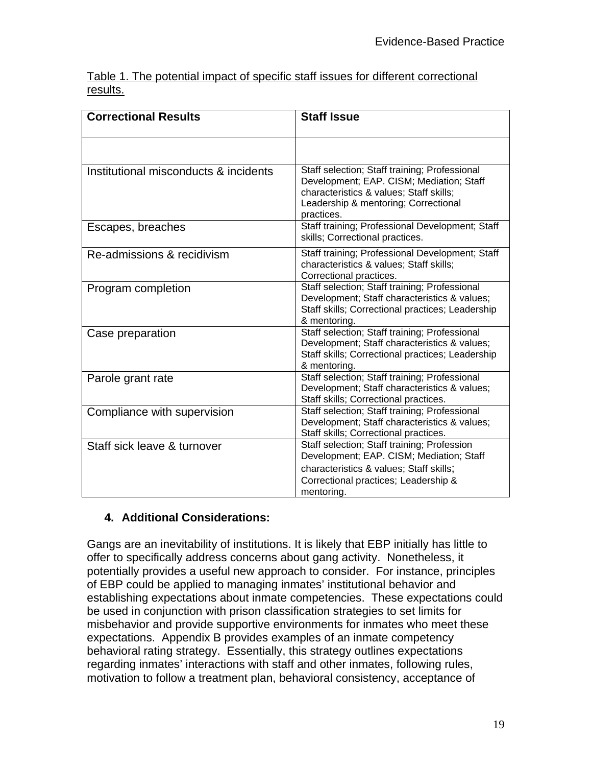|          |  |  |  |  | Table 1. The potential impact of specific staff issues for different correctional |  |
|----------|--|--|--|--|-----------------------------------------------------------------------------------|--|
| results. |  |  |  |  |                                                                                   |  |

| <b>Correctional Results</b>           | <b>Staff Issue</b>                                                                                                                                                                         |
|---------------------------------------|--------------------------------------------------------------------------------------------------------------------------------------------------------------------------------------------|
|                                       |                                                                                                                                                                                            |
| Institutional misconducts & incidents | Staff selection; Staff training; Professional<br>Development; EAP. CISM; Mediation; Staff<br>characteristics & values; Staff skills;<br>Leadership & mentoring; Correctional<br>practices. |
| Escapes, breaches                     | Staff training; Professional Development; Staff<br>skills; Correctional practices.                                                                                                         |
| Re-admissions & recidivism            | Staff training; Professional Development; Staff<br>characteristics & values; Staff skills;<br>Correctional practices.                                                                      |
| Program completion                    | Staff selection; Staff training; Professional<br>Development; Staff characteristics & values;<br>Staff skills; Correctional practices; Leadership<br>& mentoring.                          |
| Case preparation                      | Staff selection; Staff training; Professional<br>Development; Staff characteristics & values;<br>Staff skills; Correctional practices; Leadership<br>& mentoring.                          |
| Parole grant rate                     | Staff selection; Staff training; Professional<br>Development; Staff characteristics & values;<br>Staff skills; Correctional practices.                                                     |
| Compliance with supervision           | Staff selection; Staff training; Professional<br>Development; Staff characteristics & values;<br>Staff skills; Correctional practices.                                                     |
| Staff sick leave & turnover           | Staff selection; Staff training; Profession<br>Development; EAP. CISM; Mediation; Staff<br>characteristics & values; Staff skills;<br>Correctional practices; Leadership &<br>mentoring.   |

### **4. Additional Considerations:**

Gangs are an inevitability of institutions. It is likely that EBP initially has little to offer to specifically address concerns about gang activity. Nonetheless, it potentially provides a useful new approach to consider. For instance, principles of EBP could be applied to managing inmates' institutional behavior and establishing expectations about inmate competencies. These expectations could be used in conjunction with prison classification strategies to set limits for misbehavior and provide supportive environments for inmates who meet these expectations. Appendix B provides examples of an inmate competency behavioral rating strategy. Essentially, this strategy outlines expectations regarding inmates' interactions with staff and other inmates, following rules, motivation to follow a treatment plan, behavioral consistency, acceptance of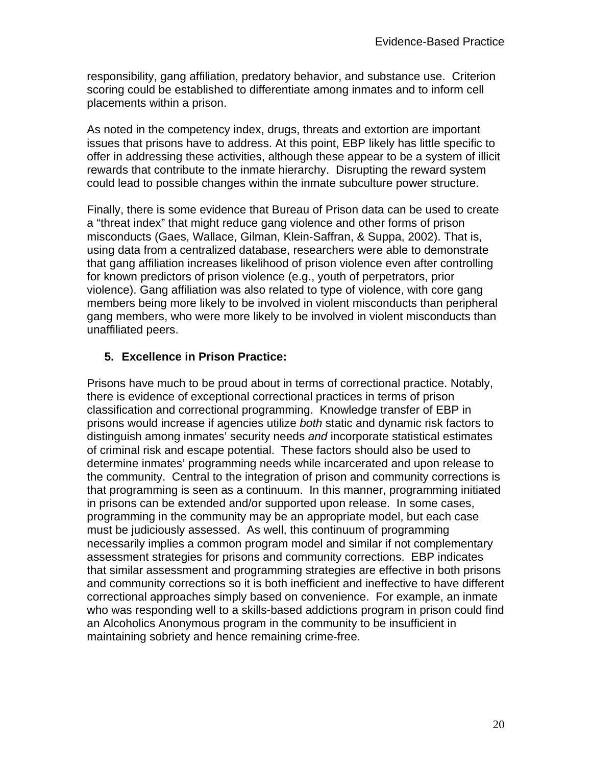responsibility, gang affiliation, predatory behavior, and substance use. Criterion scoring could be established to differentiate among inmates and to inform cell placements within a prison.

As noted in the competency index, drugs, threats and extortion are important issues that prisons have to address. At this point, EBP likely has little specific to offer in addressing these activities, although these appear to be a system of illicit rewards that contribute to the inmate hierarchy. Disrupting the reward system could lead to possible changes within the inmate subculture power structure.

Finally, there is some evidence that Bureau of Prison data can be used to create a "threat index" that might reduce gang violence and other forms of prison misconducts (Gaes, Wallace, Gilman, Klein-Saffran, & Suppa, 2002). That is, using data from a centralized database, researchers were able to demonstrate that gang affiliation increases likelihood of prison violence even after controlling for known predictors of prison violence (e.g., youth of perpetrators, prior violence). Gang affiliation was also related to type of violence, with core gang members being more likely to be involved in violent misconducts than peripheral gang members, who were more likely to be involved in violent misconducts than unaffiliated peers.

### **5. Excellence in Prison Practice:**

Prisons have much to be proud about in terms of correctional practice. Notably, there is evidence of exceptional correctional practices in terms of prison classification and correctional programming. Knowledge transfer of EBP in prisons would increase if agencies utilize *both* static and dynamic risk factors to distinguish among inmates' security needs *and* incorporate statistical estimates of criminal risk and escape potential. These factors should also be used to determine inmates' programming needs while incarcerated and upon release to the community. Central to the integration of prison and community corrections is that programming is seen as a continuum. In this manner, programming initiated in prisons can be extended and/or supported upon release. In some cases, programming in the community may be an appropriate model, but each case must be judiciously assessed. As well, this continuum of programming necessarily implies a common program model and similar if not complementary assessment strategies for prisons and community corrections. EBP indicates that similar assessment and programming strategies are effective in both prisons and community corrections so it is both inefficient and ineffective to have different correctional approaches simply based on convenience. For example, an inmate who was responding well to a skills-based addictions program in prison could find an Alcoholics Anonymous program in the community to be insufficient in maintaining sobriety and hence remaining crime-free.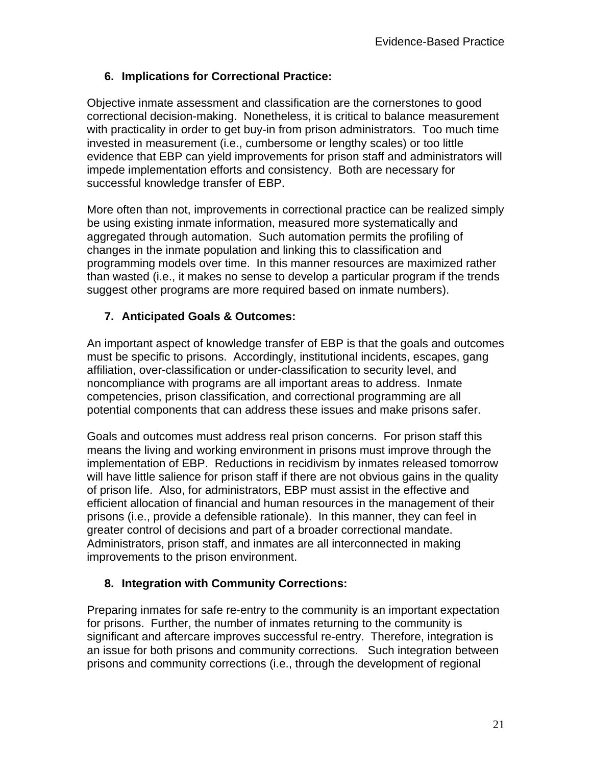### **6. Implications for Correctional Practice:**

Objective inmate assessment and classification are the cornerstones to good correctional decision-making. Nonetheless, it is critical to balance measurement with practicality in order to get buy-in from prison administrators. Too much time invested in measurement (i.e., cumbersome or lengthy scales) or too little evidence that EBP can yield improvements for prison staff and administrators will impede implementation efforts and consistency. Both are necessary for successful knowledge transfer of EBP.

More often than not, improvements in correctional practice can be realized simply be using existing inmate information, measured more systematically and aggregated through automation. Such automation permits the profiling of changes in the inmate population and linking this to classification and programming models over time. In this manner resources are maximized rather than wasted (i.e., it makes no sense to develop a particular program if the trends suggest other programs are more required based on inmate numbers).

### **7. Anticipated Goals & Outcomes:**

An important aspect of knowledge transfer of EBP is that the goals and outcomes must be specific to prisons. Accordingly, institutional incidents, escapes, gang affiliation, over-classification or under-classification to security level, and noncompliance with programs are all important areas to address. Inmate competencies, prison classification, and correctional programming are all potential components that can address these issues and make prisons safer.

Goals and outcomes must address real prison concerns. For prison staff this means the living and working environment in prisons must improve through the implementation of EBP. Reductions in recidivism by inmates released tomorrow will have little salience for prison staff if there are not obvious gains in the quality of prison life. Also, for administrators, EBP must assist in the effective and efficient allocation of financial and human resources in the management of their prisons (i.e., provide a defensible rationale). In this manner, they can feel in greater control of decisions and part of a broader correctional mandate. Administrators, prison staff, and inmates are all interconnected in making improvements to the prison environment.

### **8. Integration with Community Corrections:**

Preparing inmates for safe re-entry to the community is an important expectation for prisons. Further, the number of inmates returning to the community is significant and aftercare improves successful re-entry. Therefore, integration is an issue for both prisons and community corrections. Such integration between prisons and community corrections (i.e., through the development of regional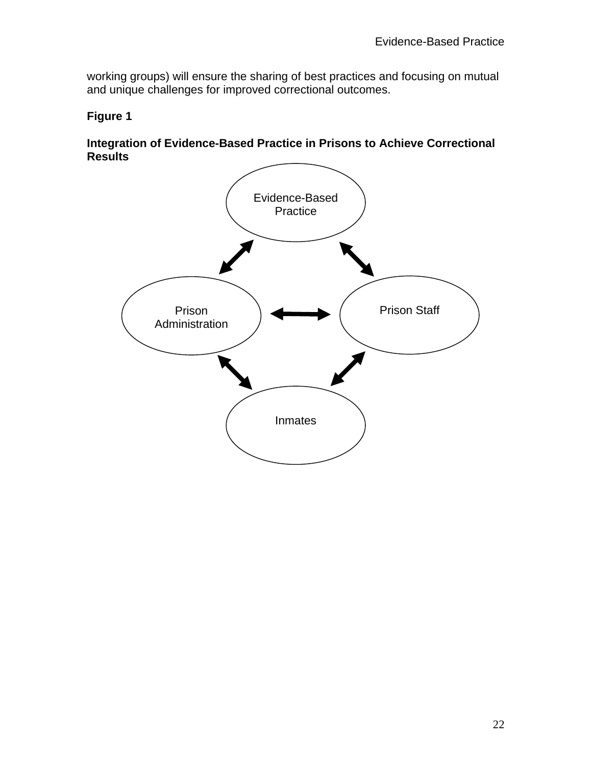working groups) will ensure the sharing of best practices and focusing on mutual and unique challenges for improved correctional outcomes.

### **Figure 1**

#### **Integration of Evidence-Based Practice in Prisons to Achieve Correctional Results**

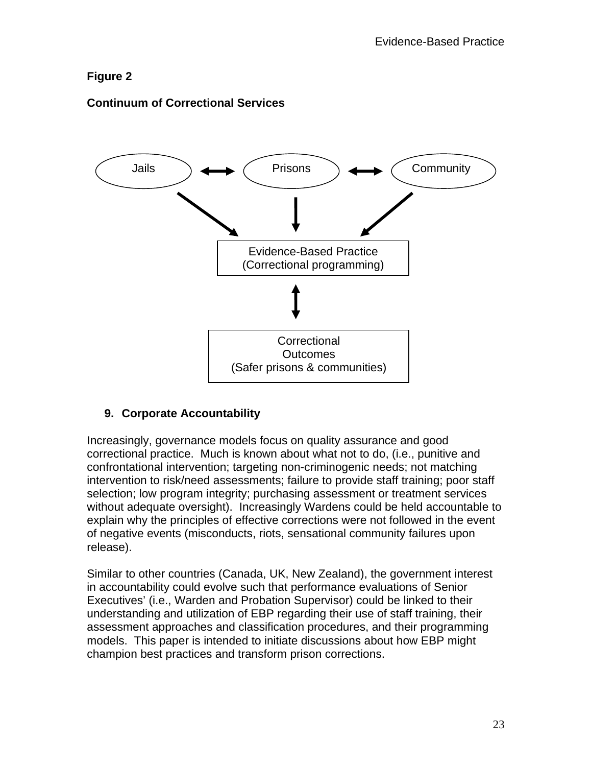### **Figure 2**

### **Continuum of Correctional Services**



### **9. Corporate Accountability**

Increasingly, governance models focus on quality assurance and good correctional practice. Much is known about what not to do, (i.e., punitive and confrontational intervention; targeting non-criminogenic needs; not matching intervention to risk/need assessments; failure to provide staff training; poor staff selection; low program integrity; purchasing assessment or treatment services without adequate oversight). Increasingly Wardens could be held accountable to explain why the principles of effective corrections were not followed in the event of negative events (misconducts, riots, sensational community failures upon release).

Similar to other countries (Canada, UK, New Zealand), the government interest in accountability could evolve such that performance evaluations of Senior Executives' (i.e., Warden and Probation Supervisor) could be linked to their understanding and utilization of EBP regarding their use of staff training, their assessment approaches and classification procedures, and their programming models. This paper is intended to initiate discussions about how EBP might champion best practices and transform prison corrections.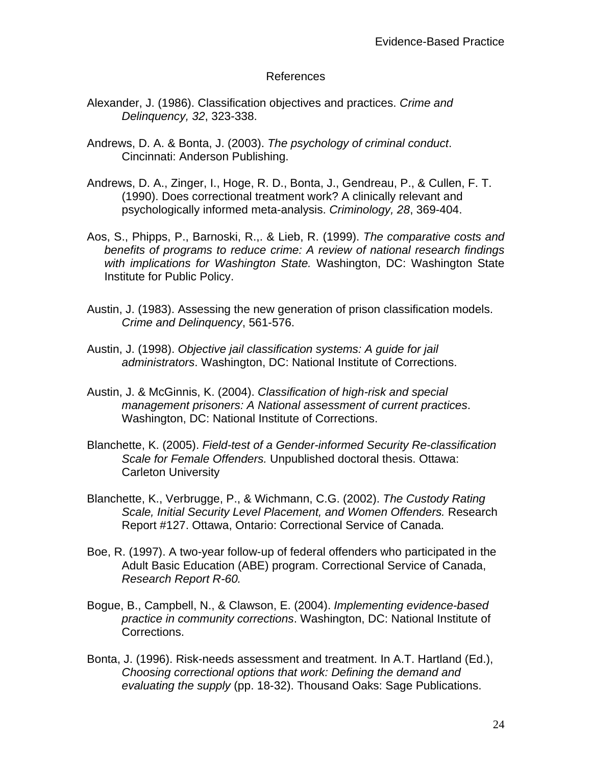#### References

- Alexander, J. (1986). Classification objectives and practices. *Crime and Delinquency, 32*, 323-338.
- Andrews, D. A. & Bonta, J. (2003). *The psychology of criminal conduct*. Cincinnati: Anderson Publishing.
- Andrews, D. A., Zinger, I., Hoge, R. D., Bonta, J., Gendreau, P., & Cullen, F. T. (1990). Does correctional treatment work? A clinically relevant and psychologically informed meta-analysis. *Criminology, 28*, 369-404.
- Aos, S., Phipps, P., Barnoski, R.,. & Lieb, R. (1999). *The comparative costs and benefits of programs to reduce crime: A review of national research findings with implications for Washington State.* Washington, DC: Washington State Institute for Public Policy.
- Austin, J. (1983). Assessing the new generation of prison classification models. *Crime and Delinquency*, 561-576.
- Austin, J. (1998). *Objective jail classification systems: A guide for jail administrators*. Washington, DC: National Institute of Corrections.
- Austin, J. & McGinnis, K. (2004). *Classification of high-risk and special management prisoners: A National assessment of current practices*. Washington, DC: National Institute of Corrections.
- Blanchette, K. (2005). *Field-test of a Gender-informed Security Re-classification Scale for Female Offenders.* Unpublished doctoral thesis. Ottawa: Carleton University
- Blanchette, K., Verbrugge, P., & Wichmann, C.G. (2002). *The Custody Rating Scale, Initial Security Level Placement, and Women Offenders.* Research Report #127. Ottawa, Ontario: Correctional Service of Canada.
- Boe, R. (1997). A two-year follow-up of federal offenders who participated in the Adult Basic Education (ABE) program. Correctional Service of Canada, *Research Report R-60.*
- Bogue, B., Campbell, N., & Clawson, E. (2004). *Implementing evidence-based practice in community corrections*. Washington, DC: National Institute of Corrections.
- Bonta, J. (1996). Risk-needs assessment and treatment. In A.T. Hartland (Ed.), *Choosing correctional options that work: Defining the demand and evaluating the supply* (pp. 18-32). Thousand Oaks: Sage Publications.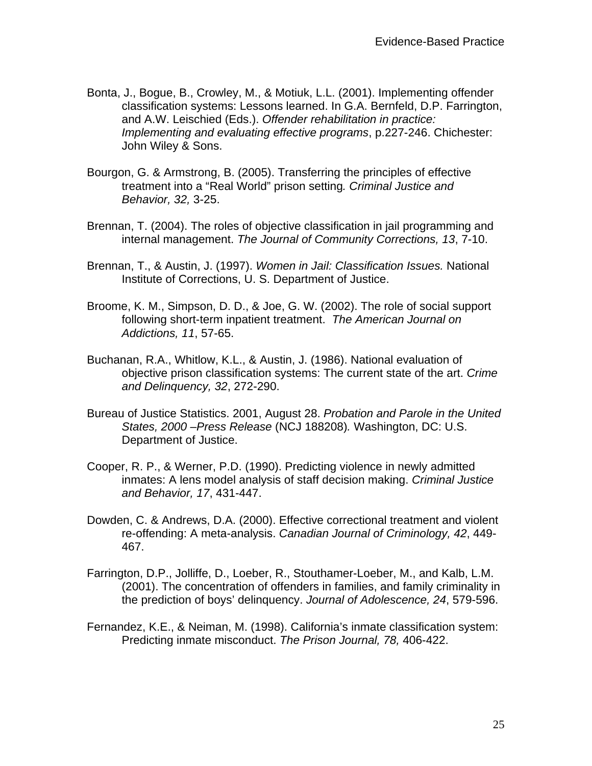- Bonta, J., Bogue, B., Crowley, M., & Motiuk, L.L. (2001). Implementing offender classification systems: Lessons learned. In G.A. Bernfeld, D.P. Farrington, and A.W. Leischied (Eds.). *Offender rehabilitation in practice: Implementing and evaluating effective programs*, p.227-246. Chichester: John Wiley & Sons.
- Bourgon, G. & Armstrong, B. (2005). Transferring the principles of effective treatment into a "Real World" prison setting*. Criminal Justice and Behavior, 32,* 3-25.
- Brennan, T. (2004). The roles of objective classification in jail programming and internal management. *The Journal of Community Corrections, 13*, 7-10.
- Brennan, T., & Austin, J. (1997). *Women in Jail: Classification Issues.* National Institute of Corrections, U. S. Department of Justice.
- Broome, K. M., Simpson, D. D., & Joe, G. W. (2002). The role of social support following short-term inpatient treatment. *The American Journal on Addictions, 11*, 57-65.
- Buchanan, R.A., Whitlow, K.L., & Austin, J. (1986). National evaluation of objective prison classification systems: The current state of the art. *Crime and Delinquency, 32*, 272-290.
- Bureau of Justice Statistics. 2001, August 28. *Probation and Parole in the United States, 2000 –Press Release* (NCJ 188208)*.* Washington, DC: U.S. Department of Justice.
- Cooper, R. P., & Werner, P.D. (1990). Predicting violence in newly admitted inmates: A lens model analysis of staff decision making. *Criminal Justice and Behavior, 17*, 431-447.
- Dowden, C. & Andrews, D.A. (2000). Effective correctional treatment and violent re-offending: A meta-analysis. *Canadian Journal of Criminology, 42*, 449- 467.
- Farrington, D.P., Jolliffe, D., Loeber, R., Stouthamer-Loeber, M., and Kalb, L.M. (2001). The concentration of offenders in families, and family criminality in the prediction of boys' delinquency. *Journal of Adolescence, 24*, 579-596.
- Fernandez, K.E., & Neiman, M. (1998). California's inmate classification system: Predicting inmate misconduct. *The Prison Journal, 78,* 406-422.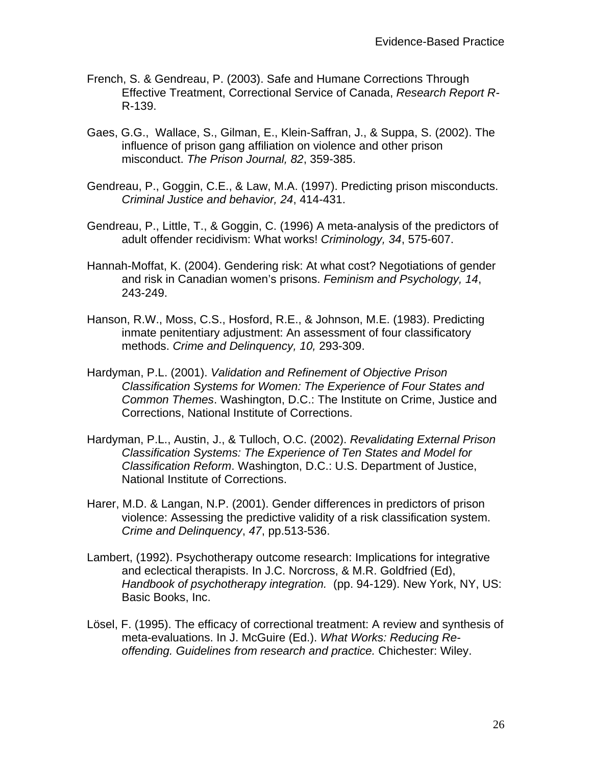- French, S. & Gendreau, P. (2003). Safe and Humane Corrections Through Effective Treatment, Correctional Service of Canada, *Research Report R-*R-139.
- Gaes, G.G., Wallace, S., Gilman, E., Klein-Saffran, J., & Suppa, S. (2002). The influence of prison gang affiliation on violence and other prison misconduct. *The Prison Journal, 82*, 359-385.
- Gendreau, P., Goggin, C.E., & Law, M.A. (1997). Predicting prison misconducts. *Criminal Justice and behavior, 24*, 414-431.
- Gendreau, P., Little, T., & Goggin, C. (1996) A meta-analysis of the predictors of adult offender recidivism: What works! *Criminology, 34*, 575-607.
- Hannah-Moffat, K. (2004). Gendering risk: At what cost? Negotiations of gender and risk in Canadian women's prisons. *Feminism and Psychology, 14*, 243-249.
- Hanson, R.W., Moss, C.S., Hosford, R.E., & Johnson, M.E. (1983). Predicting inmate penitentiary adjustment: An assessment of four classificatory methods. *Crime and Delinquency, 10,* 293-309.
- Hardyman, P.L. (2001). *Validation and Refinement of Objective Prison Classification Systems for Women: The Experience of Four States and Common Themes*. Washington, D.C.: The Institute on Crime, Justice and Corrections, National Institute of Corrections.
- Hardyman, P.L., Austin, J., & Tulloch, O.C. (2002). *Revalidating External Prison Classification Systems: The Experience of Ten States and Model for Classification Reform*. Washington, D.C.: U.S. Department of Justice, National Institute of Corrections.
- Harer, M.D. & Langan, N.P. (2001). Gender differences in predictors of prison violence: Assessing the predictive validity of a risk classification system. *Crime and Delinquency*, *47*, pp.513-536.
- Lambert, (1992). Psychotherapy outcome research: Implications for integrative and eclectical therapists. In J.C. Norcross, & M.R. Goldfried (Ed), *Handbook of psychotherapy integration.* (pp. 94-129). New York, NY, US: Basic Books, Inc.
- Lösel, F. (1995). The efficacy of correctional treatment: A review and synthesis of meta-evaluations. In J. McGuire (Ed.). *What Works: Reducing Reoffending. Guidelines from research and practice.* Chichester: Wiley.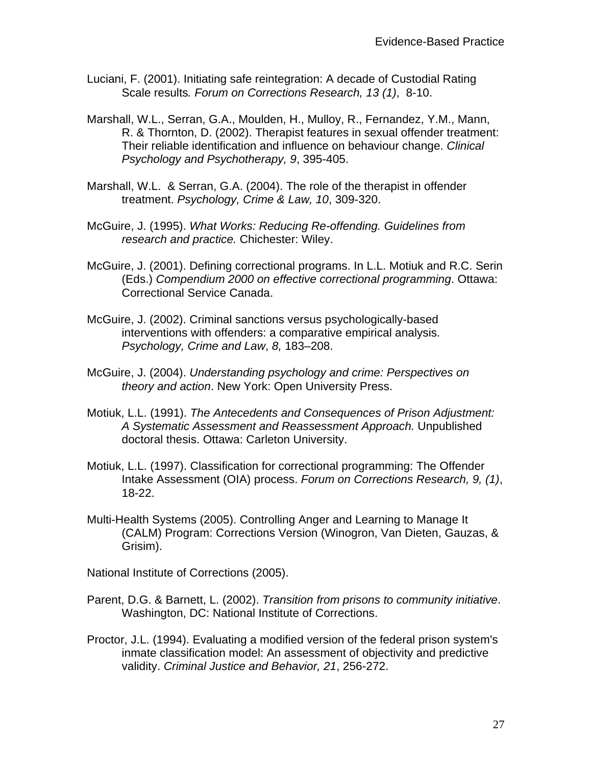- Luciani, F. (2001). Initiating safe reintegration: A decade of Custodial Rating Scale results*. Forum on Corrections Research, 13 (1)*, 8-10.
- Marshall, W.L., Serran, G.A., Moulden, H., Mulloy, R., Fernandez, Y.M., Mann, R. & Thornton, D. (2002). Therapist features in sexual offender treatment: Their reliable identification and influence on behaviour change. *Clinical Psychology and Psychotherapy, 9*, 395-405.
- Marshall, W.L. & Serran, G.A. (2004). The role of the therapist in offender treatment. *Psychology, Crime & Law, 10*, 309-320.
- McGuire, J. (1995). *What Works: Reducing Re-offending. Guidelines from research and practice.* Chichester: Wiley.
- McGuire, J. (2001). Defining correctional programs. In L.L. Motiuk and R.C. Serin (Eds.) *Compendium 2000 on effective correctional programming*. Ottawa: Correctional Service Canada.
- McGuire, J. (2002). Criminal sanctions versus psychologically-based interventions with offenders: a comparative empirical analysis. *Psychology, Crime and Law*, *8,* 183–208.
- McGuire, J. (2004). *Understanding psychology and crime: Perspectives on theory and action*. New York: Open University Press.
- Motiuk, L.L. (1991). *The Antecedents and Consequences of Prison Adjustment: A Systematic Assessment and Reassessment Approach.* Unpublished doctoral thesis. Ottawa: Carleton University.
- Motiuk, L.L. (1997). Classification for correctional programming: The Offender Intake Assessment (OIA) process. *Forum on Corrections Research, 9, (1)*, 18-22.
- Multi-Health Systems (2005). Controlling Anger and Learning to Manage It (CALM) Program: Corrections Version (Winogron, Van Dieten, Gauzas, & Grisim).

National Institute of Corrections (2005).

- Parent, D.G. & Barnett, L. (2002). *Transition from prisons to community initiative*. Washington, DC: National Institute of Corrections.
- Proctor, J.L. (1994). Evaluating a modified version of the federal prison system's inmate classification model: An assessment of objectivity and predictive validity. *Criminal Justice and Behavior, 21*, 256-272.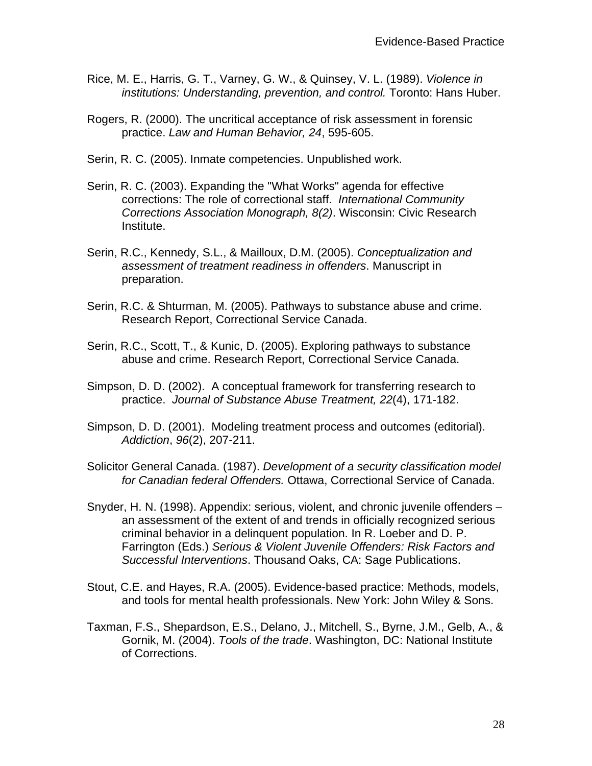- Rice, M. E., Harris, G. T., Varney, G. W., & Quinsey, V. L. (1989). *Violence in institutions: Understanding, prevention, and control.* Toronto: Hans Huber.
- Rogers, R. (2000). The uncritical acceptance of risk assessment in forensic practice. *Law and Human Behavior, 24*, 595-605.
- Serin, R. C. (2005). Inmate competencies. Unpublished work.
- Serin, R. C. (2003). Expanding the "What Works" agenda for effective corrections: The role of correctional staff. *International Community Corrections Association Monograph, 8(2)*. Wisconsin: Civic Research Institute.
- Serin, R.C., Kennedy, S.L., & Mailloux, D.M. (2005). *Conceptualization and assessment of treatment readiness in offenders*. Manuscript in preparation.
- Serin, R.C. & Shturman, M. (2005). Pathways to substance abuse and crime. Research Report, Correctional Service Canada.
- Serin, R.C., Scott, T., & Kunic, D. (2005). Exploring pathways to substance abuse and crime. Research Report, Correctional Service Canada.
- Simpson, D. D. (2002). A conceptual framework for transferring research to practice. *Journal of Substance Abuse Treatment, 22*(4), 171-182.
- Simpson, D. D. (2001). Modeling treatment process and outcomes (editorial). *Addiction*, *96*(2), 207-211.
- Solicitor General Canada. (1987). *Development of a security classification model for Canadian federal Offenders.* Ottawa, Correctional Service of Canada.
- Snyder, H. N. (1998). Appendix: serious, violent, and chronic juvenile offenders an assessment of the extent of and trends in officially recognized serious criminal behavior in a delinquent population. In R. Loeber and D. P. Farrington (Eds.) *Serious & Violent Juvenile Offenders: Risk Factors and Successful Interventions*. Thousand Oaks, CA: Sage Publications.
- Stout, C.E. and Hayes, R.A. (2005). Evidence-based practice: Methods, models, and tools for mental health professionals. New York: John Wiley & Sons.
- Taxman, F.S., Shepardson, E.S., Delano, J., Mitchell, S., Byrne, J.M., Gelb, A., & Gornik, M. (2004). *Tools of the trade*. Washington, DC: National Institute of Corrections.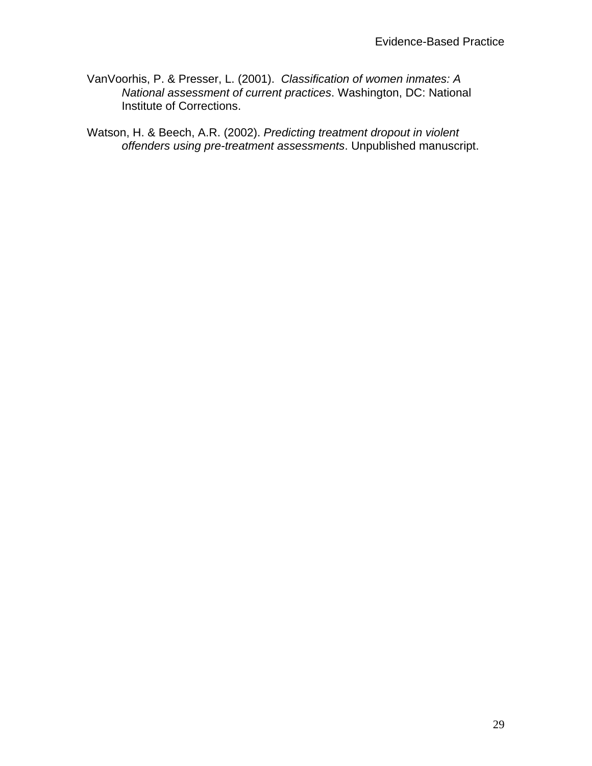VanVoorhis, P. & Presser, L. (2001). *Classification of women inmates: A National assessment of current practices*. Washington, DC: National Institute of Corrections.

Watson, H. & Beech, A.R. (2002). *Predicting treatment dropout in violent offenders using pre-treatment assessments*. Unpublished manuscript.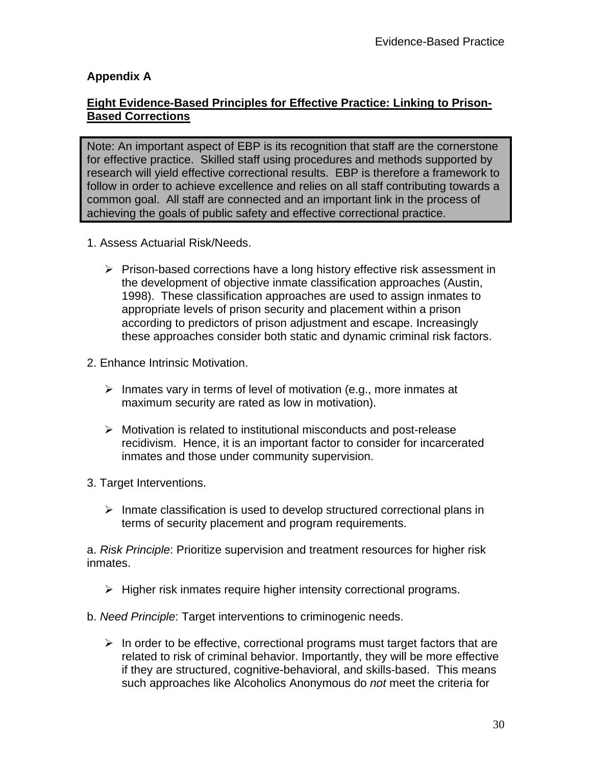#### **Appendix A**

#### **Eight Evidence-Based Principles for Effective Practice: Linking to Prison-Based Corrections**

Note: An important aspect of EBP is its recognition that staff are the cornerstone for effective practice. Skilled staff using procedures and methods supported by research will yield effective correctional results. EBP is therefore a framework to follow in order to achieve excellence and relies on all staff contributing towards a common goal. All staff are connected and an important link in the process of achieving the goals of public safety and effective correctional practice.

- 1. Assess Actuarial Risk/Needs.
	- $\triangleright$  Prison-based corrections have a long history effective risk assessment in the development of objective inmate classification approaches (Austin, 1998). These classification approaches are used to assign inmates to appropriate levels of prison security and placement within a prison according to predictors of prison adjustment and escape. Increasingly these approaches consider both static and dynamic criminal risk factors.
- 2. Enhance Intrinsic Motivation.
	- $\triangleright$  Inmates vary in terms of level of motivation (e.g., more inmates at maximum security are rated as low in motivation).
	- $\triangleright$  Motivation is related to institutional misconducts and post-release recidivism. Hence, it is an important factor to consider for incarcerated inmates and those under community supervision.
- 3. Target Interventions.
	- $\triangleright$  Inmate classification is used to develop structured correctional plans in terms of security placement and program requirements.

a. *Risk Principle*: Prioritize supervision and treatment resources for higher risk inmates.

- $\triangleright$  Higher risk inmates require higher intensity correctional programs.
- b. *Need Principle*: Target interventions to criminogenic needs.
	- $\triangleright$  In order to be effective, correctional programs must target factors that are related to risk of criminal behavior. Importantly, they will be more effective if they are structured, cognitive-behavioral, and skills-based. This means such approaches like Alcoholics Anonymous do *not* meet the criteria for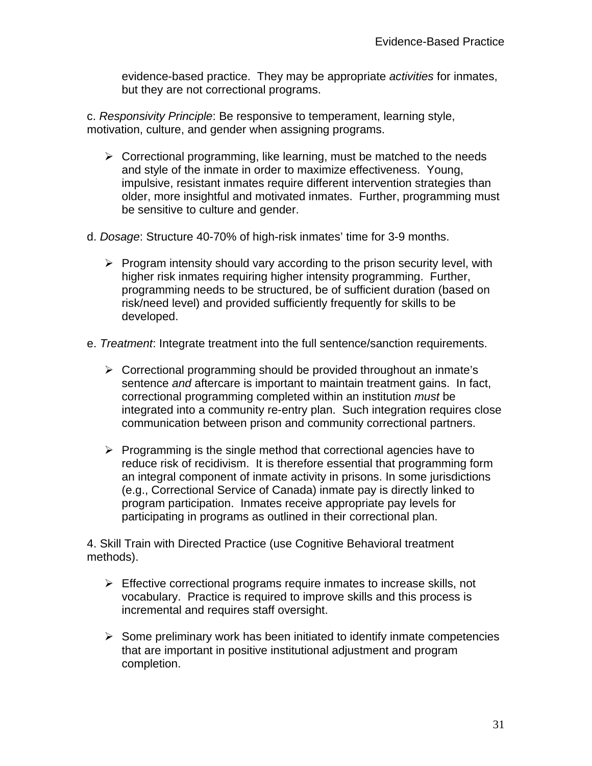evidence-based practice. They may be appropriate *activities* for inmates, but they are not correctional programs.

c. *Responsivity Principle*: Be responsive to temperament, learning style, motivation, culture, and gender when assigning programs.

- $\triangleright$  Correctional programming, like learning, must be matched to the needs and style of the inmate in order to maximize effectiveness. Young, impulsive, resistant inmates require different intervention strategies than older, more insightful and motivated inmates. Further, programming must be sensitive to culture and gender.
- d. *Dosage*: Structure 40-70% of high-risk inmates' time for 3-9 months.
	- $\triangleright$  Program intensity should vary according to the prison security level, with higher risk inmates requiring higher intensity programming. Further, programming needs to be structured, be of sufficient duration (based on risk/need level) and provided sufficiently frequently for skills to be developed.
- e. *Treatment*: Integrate treatment into the full sentence/sanction requirements.
	- $\triangleright$  Correctional programming should be provided throughout an inmate's sentence *and* aftercare is important to maintain treatment gains. In fact, correctional programming completed within an institution *must* be integrated into a community re-entry plan. Such integration requires close communication between prison and community correctional partners.
	- $\triangleright$  Programming is the single method that correctional agencies have to reduce risk of recidivism. It is therefore essential that programming form an integral component of inmate activity in prisons. In some jurisdictions (e.g., Correctional Service of Canada) inmate pay is directly linked to program participation. Inmates receive appropriate pay levels for participating in programs as outlined in their correctional plan.

4. Skill Train with Directed Practice (use Cognitive Behavioral treatment methods).

- $\triangleright$  Effective correctional programs require inmates to increase skills, not vocabulary. Practice is required to improve skills and this process is incremental and requires staff oversight.
- $\triangleright$  Some preliminary work has been initiated to identify inmate competencies that are important in positive institutional adjustment and program completion.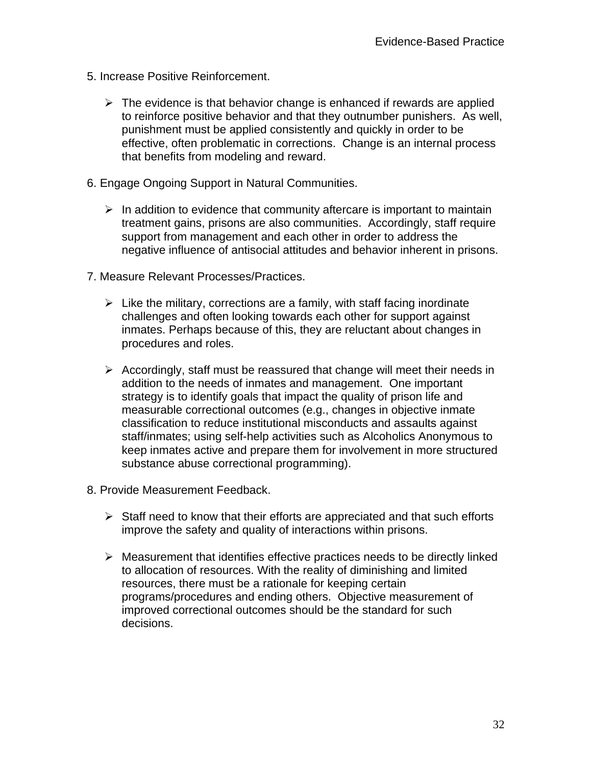- 5. Increase Positive Reinforcement.
	- $\triangleright$  The evidence is that behavior change is enhanced if rewards are applied to reinforce positive behavior and that they outnumber punishers. As well, punishment must be applied consistently and quickly in order to be effective, often problematic in corrections. Change is an internal process that benefits from modeling and reward.
- 6. Engage Ongoing Support in Natural Communities.
	- $\triangleright$  In addition to evidence that community aftercare is important to maintain treatment gains, prisons are also communities. Accordingly, staff require support from management and each other in order to address the negative influence of antisocial attitudes and behavior inherent in prisons.
- 7. Measure Relevant Processes/Practices.
	- $\triangleright$  Like the military, corrections are a family, with staff facing inordinate challenges and often looking towards each other for support against inmates. Perhaps because of this, they are reluctant about changes in procedures and roles.
	- $\triangleright$  Accordingly, staff must be reassured that change will meet their needs in addition to the needs of inmates and management. One important strategy is to identify goals that impact the quality of prison life and measurable correctional outcomes (e.g., changes in objective inmate classification to reduce institutional misconducts and assaults against staff/inmates; using self-help activities such as Alcoholics Anonymous to keep inmates active and prepare them for involvement in more structured substance abuse correctional programming).
- 8. Provide Measurement Feedback.
	- $\triangleright$  Staff need to know that their efforts are appreciated and that such efforts improve the safety and quality of interactions within prisons.
	- $\triangleright$  Measurement that identifies effective practices needs to be directly linked to allocation of resources. With the reality of diminishing and limited resources, there must be a rationale for keeping certain programs/procedures and ending others. Objective measurement of improved correctional outcomes should be the standard for such decisions.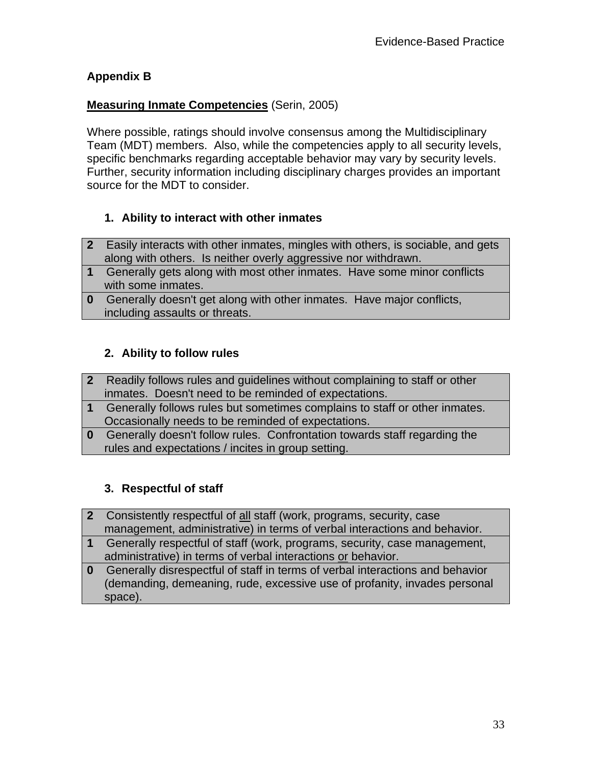### **Appendix B**

### **Measuring Inmate Competencies** (Serin, 2005)

Where possible, ratings should involve consensus among the Multidisciplinary Team (MDT) members. Also, while the competencies apply to all security levels, specific benchmarks regarding acceptable behavior may vary by security levels. Further, security information including disciplinary charges provides an important source for the MDT to consider.

### **1. Ability to interact with other inmates**

- **2** Easily interacts with other inmates, mingles with others, is sociable, and gets along with others. Is neither overly aggressive nor withdrawn.
- **1** Generally gets along with most other inmates. Have some minor conflicts with some inmates.
- **0** Generally doesn't get along with other inmates. Have major conflicts, including assaults or threats.

#### **2. Ability to follow rules**

- **2** Readily follows rules and guidelines without complaining to staff or other inmates. Doesn't need to be reminded of expectations.
- **1** Generally follows rules but sometimes complains to staff or other inmates. Occasionally needs to be reminded of expectations.
- **0** Generally doesn't follow rules. Confrontation towards staff regarding the rules and expectations / incites in group setting.

### **3. Respectful of staff**

- **2** Consistently respectful of all staff (work, programs, security, case management, administrative) in terms of verbal interactions and behavior.
- **1** Generally respectful of staff (work, programs, security, case management, administrative) in terms of verbal interactions or behavior.
- **0** Generally disrespectful of staff in terms of verbal interactions and behavior (demanding, demeaning, rude, excessive use of profanity, invades personal space).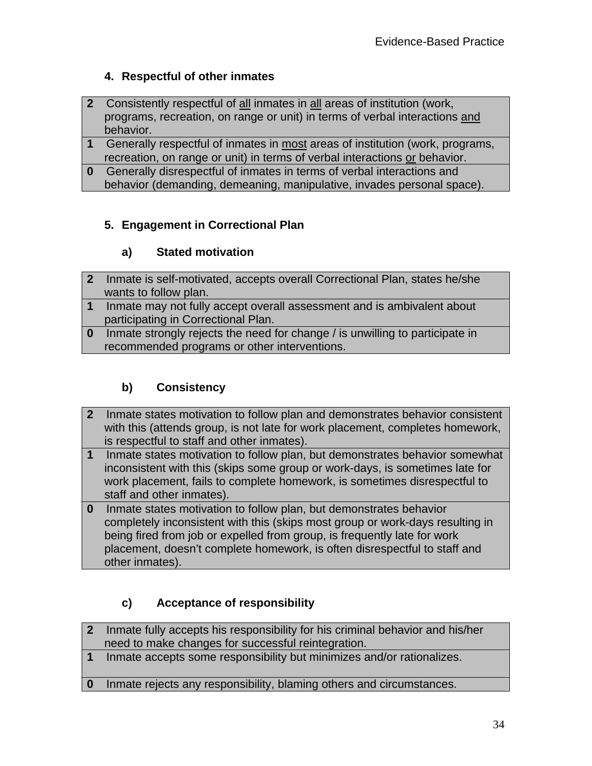# **4. Respectful of other inmates**

- **2** Consistently respectful of all inmates in all areas of institution (work, programs, recreation, on range or unit) in terms of verbal interactions and behavior.
- **1** Generally respectful of inmates in most areas of institution (work, programs, recreation, on range or unit) in terms of verbal interactions or behavior.
- **0** Generally disrespectful of inmates in terms of verbal interactions and behavior (demanding, demeaning, manipulative, invades personal space).

### **5. Engagement in Correctional Plan**

### **a) Stated motivation**

- **2** Inmate is self-motivated, accepts overall Correctional Plan, states he/she wants to follow plan.
- **1** Inmate may not fully accept overall assessment and is ambivalent about participating in Correctional Plan.
- **0** Inmate strongly rejects the need for change / is unwilling to participate in recommended programs or other interventions.

# **b) Consistency**

- **2** Inmate states motivation to follow plan and demonstrates behavior consistent with this (attends group, is not late for work placement, completes homework, is respectful to staff and other inmates).
- **1** Inmate states motivation to follow plan, but demonstrates behavior somewhat inconsistent with this (skips some group or work-days, is sometimes late for work placement, fails to complete homework, is sometimes disrespectful to staff and other inmates).
- **0** Inmate states motivation to follow plan, but demonstrates behavior completely inconsistent with this (skips most group or work-days resulting in being fired from job or expelled from group, is frequently late for work placement, doesn't complete homework, is often disrespectful to staff and other inmates).

# **c) Acceptance of responsibility**

- **2** Inmate fully accepts his responsibility for his criminal behavior and his/her need to make changes for successful reintegration.
- **1** Inmate accepts some responsibility but minimizes and/or rationalizes.
- **0** Inmate rejects any responsibility, blaming others and circumstances.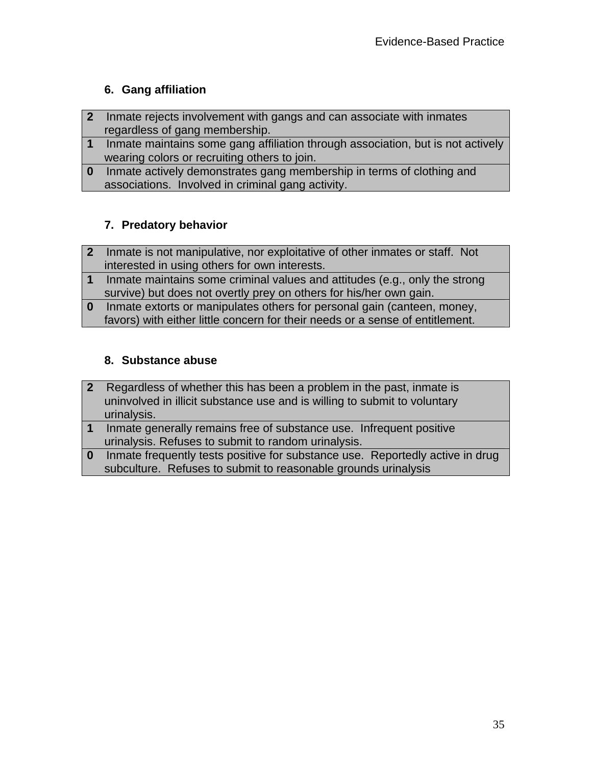# **6. Gang affiliation**

- **2** Inmate rejects involvement with gangs and can associate with inmates regardless of gang membership.
- **1** Inmate maintains some gang affiliation through association, but is not actively wearing colors or recruiting others to join.
- **0** Inmate actively demonstrates gang membership in terms of clothing and associations. Involved in criminal gang activity.

# **7. Predatory behavior**

- **2** Inmate is not manipulative, nor exploitative of other inmates or staff. Not interested in using others for own interests.
- **1** Inmate maintains some criminal values and attitudes (e.g., only the strong survive) but does not overtly prey on others for his/her own gain.
- **0** Inmate extorts or manipulates others for personal gain (canteen, money, favors) with either little concern for their needs or a sense of entitlement.

# **8. Substance abuse**

- **2** Regardless of whether this has been a problem in the past, inmate is uninvolved in illicit substance use and is willing to submit to voluntary urinalysis.
- **1** Inmate generally remains free of substance use. Infrequent positive urinalysis. Refuses to submit to random urinalysis.
- **0** Inmate frequently tests positive for substance use. Reportedly active in drug subculture. Refuses to submit to reasonable grounds urinalysis